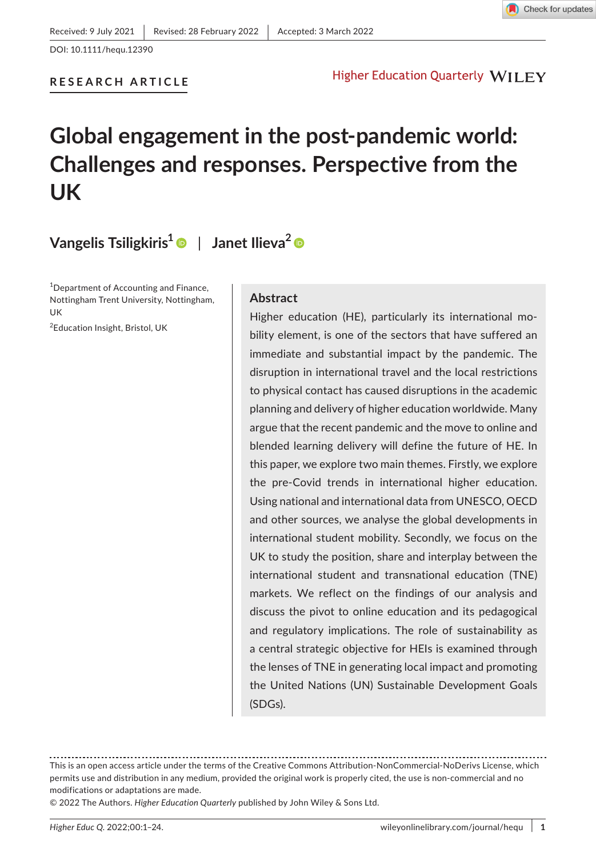

DOI: 10.1111/hequ.12390

### **RESEARCH ARTICLE**

# **Higher Education Quarterly WILEY**

# **Global engagement in the post-pandemic world: Challenges and responses. Perspective from the UK**

# **Vangelis Tsiligkiris[1](https://orcid.org/0000-0002-5478-3464)** | **Janet Ilieva[2](https://orcid.org/0000-0003-4637-0210)**

1 Department of Accounting and Finance, Nottingham Trent University, Nottingham, UK

2 Education Insight, Bristol, UK

### **Abstract**

Higher education (HE), particularly its international mobility element, is one of the sectors that have suffered an immediate and substantial impact by the pandemic. The disruption in international travel and the local restrictions to physical contact has caused disruptions in the academic planning and delivery of higher education worldwide. Many argue that the recent pandemic and the move to online and blended learning delivery will define the future of HE. In this paper, we explore two main themes. Firstly, we explore the pre-Covid trends in international higher education. Using national and international data from UNESCO, OECD and other sources, we analyse the global developments in international student mobility. Secondly, we focus on the UK to study the position, share and interplay between the international student and transnational education (TNE) markets. We reflect on the findings of our analysis and discuss the pivot to online education and its pedagogical and regulatory implications. The role of sustainability as a central strategic objective for HEIs is examined through the lenses of TNE in generating local impact and promoting the United Nations (UN) Sustainable Development Goals (SDGs).

This is an open access article under the terms of the [Creative Commons Attribution-NonCommercial-NoDerivs](http://creativecommons.org/licenses/by-nc-nd/4.0/) License, which permits use and distribution in any medium, provided the original work is properly cited, the use is non-commercial and no modifications or adaptations are made.

<sup>© 2022</sup> The Authors. *Higher Education Quarterly* published by John Wiley & Sons Ltd.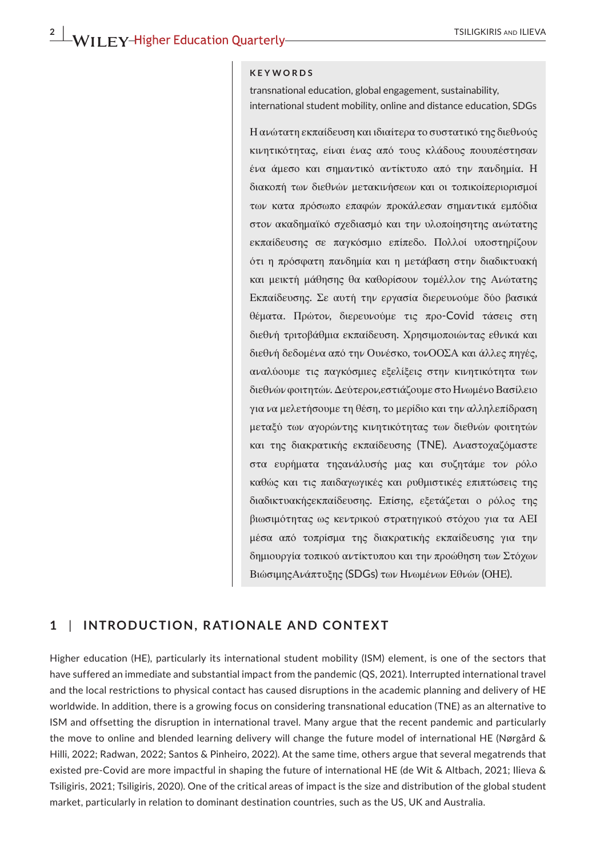#### **KEYWORDS**

transnational education, global engagement, sustainability, international student mobility, online and distance education, SDGs

Η ανώτατη εκπαίδευση και ιδιαίτερα το συστατικό της διεθνούς κινητικότητας, είναι ένας από τους κλάδους πουυπέστησαν ένα άμεσο και σημαντικό αντίκτυπο από την πανδημία. Η διακοπή των διεθνών μετακινήσεων και οι τοπικοίπεριορισμοί των κατα πρόσωπο επαφών προκάλεσαν σημαντικά εμπόδια στον ακαδημαϊκό σχεδιασμό και την υλοποίησητης ανώτατης εκπαίδευσης σε παγκόσμιο επίπεδο. Πολλοί υποστηρίζουν ότι η πρόσφατη πανδημία και η μετάβαση στην διαδικτυακή και μεικτή μάθησης θα καθορίσουν τομέλλον της Ανώτατης Εκπαίδευσης. Σε αυτή την εργασία διερευνούμε δύο βασικά θέματα. Πρώτον, διερευνούμε τις προ-Covid τάσεις στη διεθνή τριτοβάθμια εκπαίδευση. Χρησιμοποιώντας εθνικά και διεθνή δεδομένα από την Ουνέσκο, τονΟΟΣΑ και άλλες πηγές, αναλύουμε τις παγκόσμιες εξελίξεις στην κινητικότητα των διεθνώνφοιτητών. Δεύτερον,εστιάζουμε στο ΗνωμένοΒασίλειο για να μελετήσουμε τη θέση, το μερίδιο και την αλληλεπίδραση μεταξύ των αγορώντης κινητικότητας των διεθνών φοιτητών και της διακρατικής εκπαίδευσης (TNE). Αναστοχαζόμαστε στα ευρήματα τηςανάλυσής μας και συζητάμε τον ρόλο καθώς και τις παιδαγωγικές και ρυθμιστικές επιπτώσεις της διαδικτυακήςεκπαίδευσης. Επίσης, εξετάζεται ο ρόλος της βιωσιμότητας ως κεντρικού στρατηγικού στόχου για τα ΑΕΙ μέσα από τοπρίσμα της διακρατικής εκπαίδευσης για την δημιουργία τοπικού αντίκτυπου και την προώθηση των Στόχων ΒιώσιμηςΑνάπτυξης (SDGs) των Ηνωμένων Εθνών (ΟΗΕ).

### **1** | **INTRODUCTION, RATIONALE AND CONTEXT**

Higher education (HE), particularly its international student mobility (ISM) element, is one of the sectors that have suffered an immediate and substantial impact from the pandemic (QS, 2021). Interrupted international travel and the local restrictions to physical contact has caused disruptions in the academic planning and delivery of HE worldwide. In addition, there is a growing focus on considering transnational education (TNE) as an alternative to ISM and offsetting the disruption in international travel. Many argue that the recent pandemic and particularly the move to online and blended learning delivery will change the future model of international HE (Nørgård & Hilli, 2022; Radwan, 2022; Santos & Pinheiro, 2022). At the same time, others argue that several megatrends that existed pre-Covid are more impactful in shaping the future of international HE (de Wit & Altbach, 2021; Ilieva & Tsiligiris, 2021; Tsiligiris, 2020). One of the critical areas of impact is the size and distribution of the global student market, particularly in relation to dominant destination countries, such as the US, UK and Australia.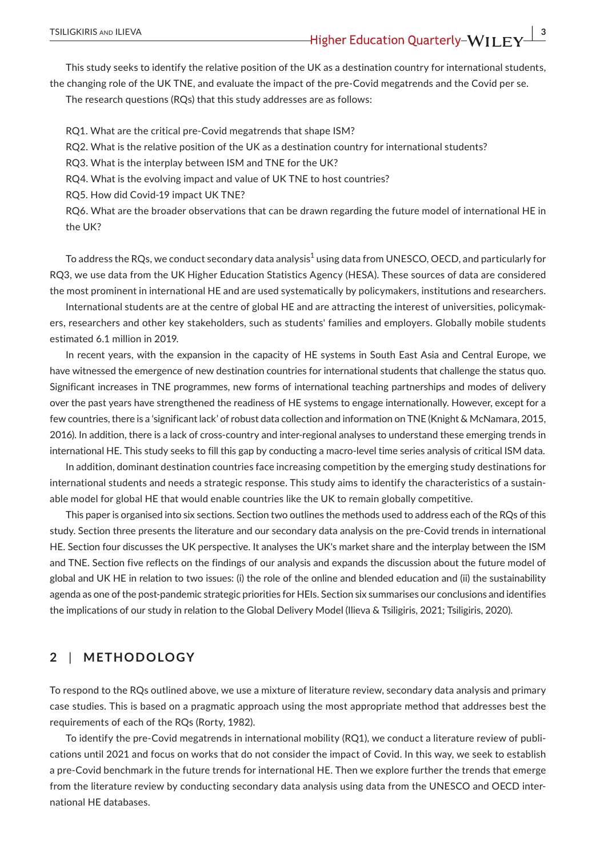This study seeks to identify the relative position of the UK as a destination country for international students, the changing role of the UK TNE, and evaluate the impact of the pre-Covid megatrends and the Covid per se.

The research questions (RQs) that this study addresses are as follows:

RQ1. What are the critical pre-Covid megatrends that shape ISM?

RQ2. What is the relative position of the UK as a destination country for international students?

RQ3. What is the interplay between ISM and TNE for the UK?

RQ4. What is the evolving impact and value of UK TNE to host countries?

RQ5. How did Covid-19 impact UK TNE?

RQ6. What are the broader observations that can be drawn regarding the future model of international HE in the UK?

To address the RQs, we conduct secondary data analysis<sup>1</sup> using data from UNESCO, OECD, and particularly for RQ3, we use data from the UK Higher Education Statistics Agency (HESA). These sources of data are considered the most prominent in international HE and are used systematically by policymakers, institutions and researchers.

International students are at the centre of global HE and are attracting the interest of universities, policymakers, researchers and other key stakeholders, such as students' families and employers. Globally mobile students estimated 6.1 million in 2019.

In recent years, with the expansion in the capacity of HE systems in South East Asia and Central Europe, we have witnessed the emergence of new destination countries for international students that challenge the status quo. Significant increases in TNE programmes, new forms of international teaching partnerships and modes of delivery over the past years have strengthened the readiness of HE systems to engage internationally. However, except for a few countries, there is a 'significant lack' of robust data collection and information on TNE (Knight & McNamara, 2015, 2016). In addition, there is a lack of cross-country and inter-regional analyses to understand these emerging trends in international HE. This study seeks to fill this gap by conducting a macro-level time series analysis of critical ISM data.

In addition, dominant destination countries face increasing competition by the emerging study destinations for international students and needs a strategic response. This study aims to identify the characteristics of a sustainable model for global HE that would enable countries like the UK to remain globally competitive.

This paper is organised into six sections. Section two outlines the methods used to address each of the RQs of this study. Section three presents the literature and our secondary data analysis on the pre-Covid trends in international HE. Section four discusses the UK perspective. It analyses the UK's market share and the interplay between the ISM and TNE. Section five reflects on the findings of our analysis and expands the discussion about the future model of global and UK HE in relation to two issues: (i) the role of the online and blended education and (ii) the sustainability agenda as one of the post-pandemic strategic priorities for HEIs. Section six summarises our conclusions and identifies the implications of our study in relation to the Global Delivery Model (Ilieva & Tsiligiris, 2021; Tsiligiris, 2020).

# **2** | **METHODOLOGY**

To respond to the RQs outlined above, we use a mixture of literature review, secondary data analysis and primary case studies. This is based on a pragmatic approach using the most appropriate method that addresses best the requirements of each of the RQs (Rorty, 1982).

To identify the pre-Covid megatrends in international mobility (RQ1), we conduct a literature review of publications until 2021 and focus on works that do not consider the impact of Covid. In this way, we seek to establish a pre-Covid benchmark in the future trends for international HE. Then we explore further the trends that emerge from the literature review by conducting secondary data analysis using data from the UNESCO and OECD international HE databases.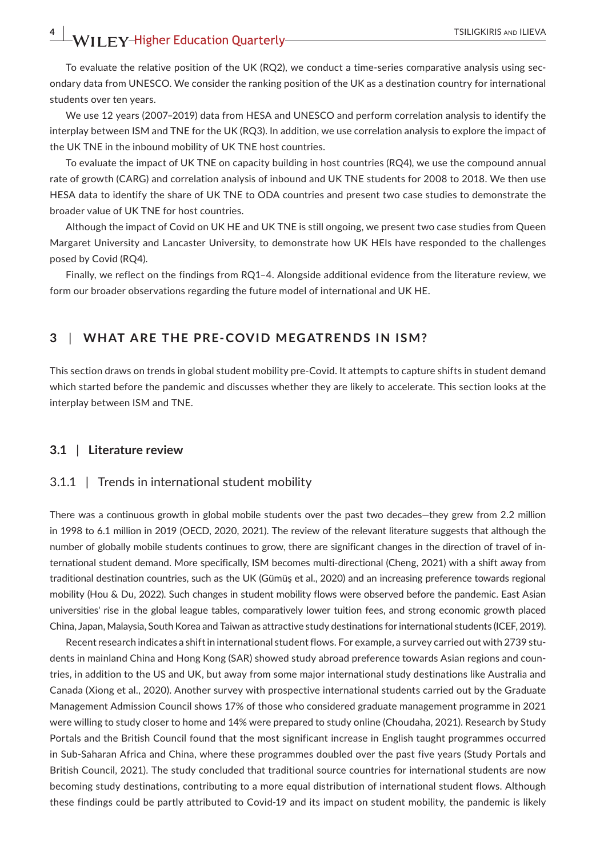To evaluate the relative position of the UK (RQ2), we conduct a time-series comparative analysis using secondary data from UNESCO. We consider the ranking position of the UK as a destination country for international students over ten years.

We use 12 years (2007–2019) data from HESA and UNESCO and perform correlation analysis to identify the interplay between ISM and TNE for the UK (RQ3). In addition, we use correlation analysis to explore the impact of the UK TNE in the inbound mobility of UK TNE host countries.

To evaluate the impact of UK TNE on capacity building in host countries (RQ4), we use the compound annual rate of growth (CARG) and correlation analysis of inbound and UK TNE students for 2008 to 2018. We then use HESA data to identify the share of UK TNE to ODA countries and present two case studies to demonstrate the broader value of UK TNE for host countries.

Although the impact of Covid on UK HE and UK TNE is still ongoing, we present two case studies from Queen Margaret University and Lancaster University, to demonstrate how UK HEIs have responded to the challenges posed by Covid (RQ4).

Finally, we reflect on the findings from RQ1–4. Alongside additional evidence from the literature review, we form our broader observations regarding the future model of international and UK HE.

# **3** | **WHAT ARE THE PRE-COVID MEGATRENDS IN ISM?**

This section draws on trends in global student mobility pre-Covid. It attempts to capture shifts in student demand which started before the pandemic and discusses whether they are likely to accelerate. This section looks at the interplay between ISM and TNE.

### **3.1** | **Literature review**

#### 3.1.1 | Trends in international student mobility

There was a continuous growth in global mobile students over the past two decades—they grew from 2.2 million in 1998 to 6.1 million in 2019 (OECD, 2020, 2021). The review of the relevant literature suggests that although the number of globally mobile students continues to grow, there are significant changes in the direction of travel of international student demand. More specifically, ISM becomes multi-directional (Cheng, 2021) with a shift away from traditional destination countries, such as the UK (Gümüş et al., 2020) and an increasing preference towards regional mobility (Hou & Du, 2022). Such changes in student mobility flows were observed before the pandemic. East Asian universities' rise in the global league tables, comparatively lower tuition fees, and strong economic growth placed China, Japan, Malaysia, South Korea and Taiwan as attractive study destinations for international students (ICEF, 2019).

Recent research indicates a shift in international student flows. For example, a survey carried out with 2739 students in mainland China and Hong Kong (SAR) showed study abroad preference towards Asian regions and countries, in addition to the US and UK, but away from some major international study destinations like Australia and Canada (Xiong et al., 2020). Another survey with prospective international students carried out by the Graduate Management Admission Council shows 17% of those who considered graduate management programme in 2021 were willing to study closer to home and 14% were prepared to study online (Choudaha, 2021). Research by Study Portals and the British Council found that the most significant increase in English taught programmes occurred in Sub-Saharan Africa and China, where these programmes doubled over the past five years (Study Portals and British Council, 2021). The study concluded that traditional source countries for international students are now becoming study destinations, contributing to a more equal distribution of international student flows. Although these findings could be partly attributed to Covid-19 and its impact on student mobility, the pandemic is likely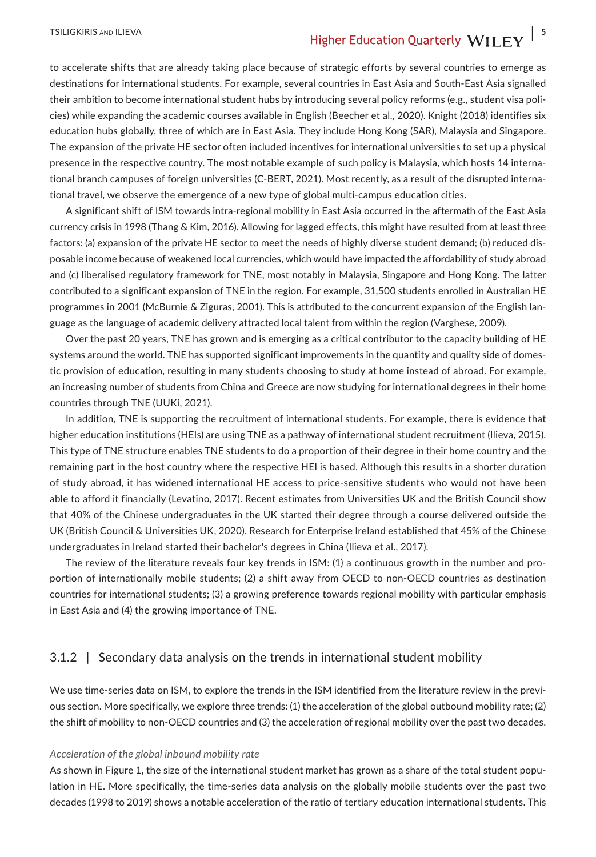to accelerate shifts that are already taking place because of strategic efforts by several countries to emerge as destinations for international students. For example, several countries in East Asia and South-East Asia signalled their ambition to become international student hubs by introducing several policy reforms (e.g., student visa policies) while expanding the academic courses available in English (Beecher et al., 2020). Knight (2018) identifies six education hubs globally, three of which are in East Asia. They include Hong Kong (SAR), Malaysia and Singapore. The expansion of the private HE sector often included incentives for international universities to set up a physical presence in the respective country. The most notable example of such policy is Malaysia, which hosts 14 international branch campuses of foreign universities (C-BERT, 2021). Most recently, as a result of the disrupted international travel, we observe the emergence of a new type of global multi-campus education cities.

A significant shift of ISM towards intra-regional mobility in East Asia occurred in the aftermath of the East Asia currency crisis in 1998 (Thang & Kim, 2016). Allowing for lagged effects, this might have resulted from at least three factors: (a) expansion of the private HE sector to meet the needs of highly diverse student demand; (b) reduced disposable income because of weakened local currencies, which would have impacted the affordability of study abroad and (c) liberalised regulatory framework for TNE, most notably in Malaysia, Singapore and Hong Kong. The latter contributed to a significant expansion of TNE in the region. For example, 31,500 students enrolled in Australian HE programmes in 2001 (McBurnie & Ziguras, 2001). This is attributed to the concurrent expansion of the English language as the language of academic delivery attracted local talent from within the region (Varghese, 2009).

Over the past 20 years, TNE has grown and is emerging as a critical contributor to the capacity building of HE systems around the world. TNE has supported significant improvements in the quantity and quality side of domestic provision of education, resulting in many students choosing to study at home instead of abroad. For example, an increasing number of students from China and Greece are now studying for international degrees in their home countries through TNE (UUKi, 2021).

In addition, TNE is supporting the recruitment of international students. For example, there is evidence that higher education institutions (HEIs) are using TNE as a pathway of international student recruitment (Ilieva, 2015). This type of TNE structure enables TNE students to do a proportion of their degree in their home country and the remaining part in the host country where the respective HEI is based. Although this results in a shorter duration of study abroad, it has widened international HE access to price-sensitive students who would not have been able to afford it financially (Levatino, 2017). Recent estimates from Universities UK and the British Council show that 40% of the Chinese undergraduates in the UK started their degree through a course delivered outside the UK (British Council & Universities UK, 2020). Research for Enterprise Ireland established that 45% of the Chinese undergraduates in Ireland started their bachelor's degrees in China (Ilieva et al., 2017).

The review of the literature reveals four key trends in ISM: (1) a continuous growth in the number and proportion of internationally mobile students; (2) a shift away from OECD to non-OECD countries as destination countries for international students; (3) a growing preference towards regional mobility with particular emphasis in East Asia and (4) the growing importance of TNE.

### 3.1.2 | Secondary data analysis on the trends in international student mobility

We use time-series data on ISM, to explore the trends in the ISM identified from the literature review in the previous section. More specifically, we explore three trends: (1) the acceleration of the global outbound mobility rate; (2) the shift of mobility to non-OECD countries and (3) the acceleration of regional mobility over the past two decades.

#### *Acceleration of the global inbound mobility rate*

As shown in Figure 1, the size of the international student market has grown as a share of the total student population in HE. More specifically, the time-series data analysis on the globally mobile students over the past two decades (1998 to 2019) shows a notable acceleration of the ratio of tertiary education international students. This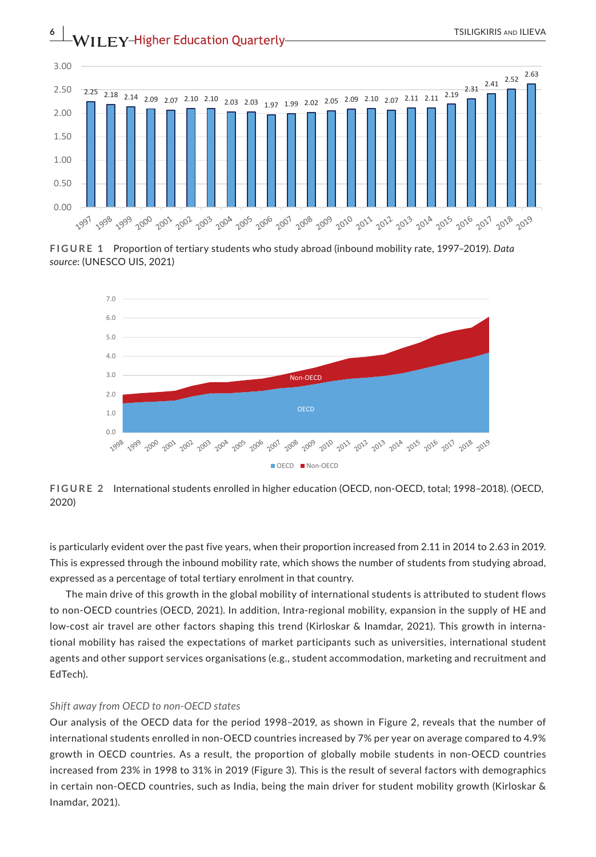

**FIGURE 1** Proportion of tertiary students who study abroad (inbound mobility rate, 1997–2019). *Data source*: (UNESCO UIS, 2021)



**FIGURE 2** International students enrolled in higher education (OECD, non-OECD, total; 1998–2018). (OECD, 2020)

is particularly evident over the past five years, when their proportion increased from 2.11 in 2014 to 2.63 in 2019. This is expressed through the inbound mobility rate, which shows the number of students from studying abroad, expressed as a percentage of total tertiary enrolment in that country.

The main drive of this growth in the global mobility of international students is attributed to student flows to non-OECD countries (OECD, 2021). In addition, Intra-regional mobility, expansion in the supply of HE and low-cost air travel are other factors shaping this trend (Kirloskar & Inamdar, 2021). This growth in international mobility has raised the expectations of market participants such as universities, international student agents and other support services organisations (e.g., student accommodation, marketing and recruitment and EdTech).

#### *Shift away from OECD to non-OECD states*

Our analysis of the OECD data for the period 1998–2019, as shown in Figure 2, reveals that the number of international students enrolled in non-OECD countries increased by 7% per year on average compared to 4.9% growth in OECD countries. As a result, the proportion of globally mobile students in non-OECD countries increased from 23% in 1998 to 31% in 2019 (Figure 3). This is the result of several factors with demographics in certain non-OECD countries, such as India, being the main driver for student mobility growth (Kirloskar & Inamdar, 2021).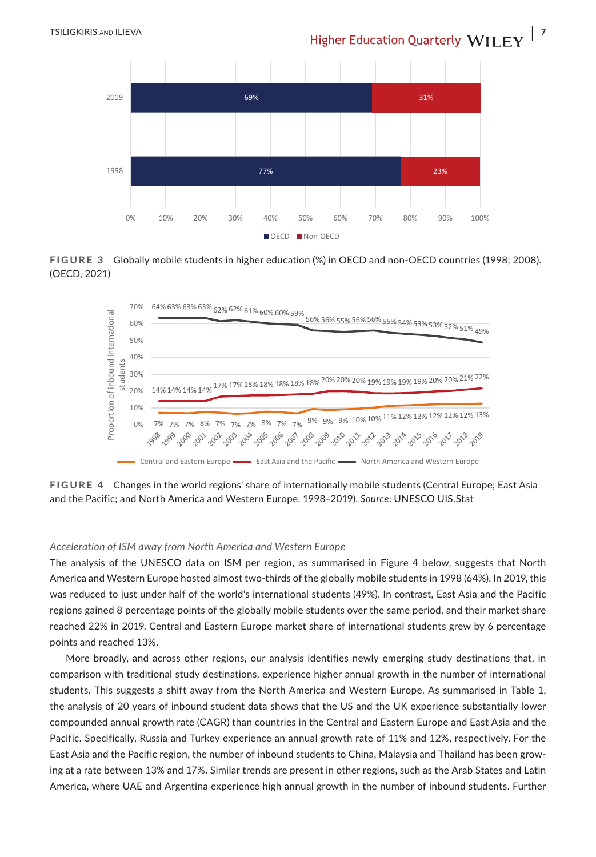

**FIGURE 3** Globally mobile students in higher education (%) in OECD and non-OECD countries (1998; 2008). (OECD, 2021)



**FIGURE 4** Changes in the world regions' share of internationally mobile students (Central Europe; East Asia and the Pacific; and North America and Western Europe. 1998–2019). *Source*: UNESCO UIS.Stat

#### *Acceleration of ISM away from North America and Western Europe*

The analysis of the UNESCO data on ISM per region, as summarised in Figure 4 below, suggests that North America and Western Europe hosted almost two-thirds of the globally mobile students in 1998 (64%). In 2019, this was reduced to just under half of the world's international students (49%). In contrast, East Asia and the Pacific regions gained 8 percentage points of the globally mobile students over the same period, and their market share reached 22% in 2019. Central and Eastern Europe market share of international students grew by 6 percentage points and reached 13%.

More broadly, and across other regions, our analysis identifies newly emerging study destinations that, in comparison with traditional study destinations, experience higher annual growth in the number of international students. This suggests a shift away from the North America and Western Europe. As summarised in Table 1, the analysis of 20 years of inbound student data shows that the US and the UK experience substantially lower compounded annual growth rate (CAGR) than countries in the Central and Eastern Europe and East Asia and the Pacific. Specifically, Russia and Turkey experience an annual growth rate of 11% and 12%, respectively. For the East Asia and the Pacific region, the number of inbound students to China, Malaysia and Thailand has been growing at a rate between 13% and 17%. Similar trends are present in other regions, such as the Arab States and Latin America, where UAE and Argentina experience high annual growth in the number of inbound students. Further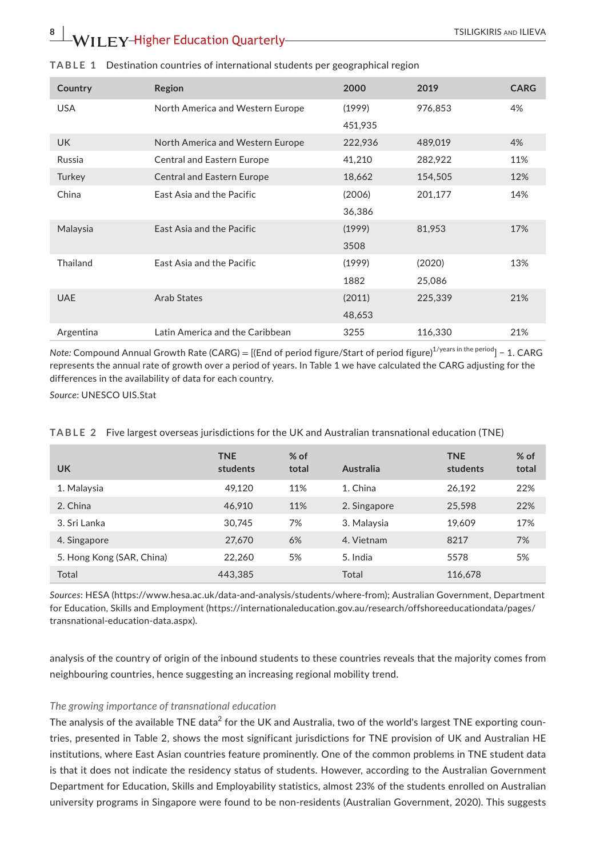| Country    | Region                            | 2000    | 2019    | <b>CARG</b> |
|------------|-----------------------------------|---------|---------|-------------|
| <b>USA</b> | North America and Western Europe  | (1999)  | 976,853 | 4%          |
|            |                                   | 451,935 |         |             |
| <b>UK</b>  | North America and Western Europe  | 222,936 | 489,019 | 4%          |
| Russia     | <b>Central and Eastern Europe</b> | 41,210  | 282,922 | 11%         |
| Turkey     | <b>Central and Eastern Europe</b> | 18,662  | 154,505 | 12%         |
| China      | East Asia and the Pacific         | (2006)  | 201,177 | 14%         |
|            |                                   | 36,386  |         |             |
| Malaysia   | East Asia and the Pacific         | (1999)  | 81,953  | 17%         |
|            |                                   | 3508    |         |             |
| Thailand   | East Asia and the Pacific         | (1999)  | (2020)  | 13%         |
|            |                                   | 1882    | 25,086  |             |
| <b>UAE</b> | Arab States                       | (2011)  | 225,339 | 21%         |
|            |                                   | 48,653  |         |             |
| Argentina  | Latin America and the Caribbean   | 3255    | 116,330 | 21%         |

#### **TABLE 1** Destination countries of international students per geographical region

*Note: Compound Annual Growth Rate (CARG)* = [(End of period figure/Start of period figure)<sup>1/years in the period</sup>] - 1. CARG represents the annual rate of growth over a period of years. In Table 1 we have calculated the CARG adjusting for the differences in the availability of data for each country.

*Source*: UNESCO UIS.Stat

| <b>UK</b>                 | <b>TNE</b><br>students | $%$ of<br>total | Australia    | <b>TNE</b><br>students | $%$ of<br>total |
|---------------------------|------------------------|-----------------|--------------|------------------------|-----------------|
| 1. Malaysia               | 49.120                 | 11%             | 1. China     | 26.192                 | 22%             |
| 2. China                  | 46.910                 | 11%             | 2. Singapore | 25,598                 | 22%             |
| 3. Sri Lanka              | 30.745                 | 7%              | 3. Malaysia  | 19.609                 | 17%             |
| 4. Singapore              | 27,670                 | 6%              | 4. Vietnam   | 8217                   | 7%              |
| 5. Hong Kong (SAR, China) | 22.260                 | 5%              | 5. India     | 5578                   | 5%              |
| Total                     | 443.385                |                 | Total        | 116.678                |                 |

**TABLE 2** Five largest overseas jurisdictions for the UK and Australian transnational education (TNE)

*Sources*: HESA (<https://www.hesa.ac.uk/data-and-analysis/students/where-from>); Australian Government, Department for Education, Skills and Employment ([https://internationaleducation.gov.au/research/offshoreeducationdata/pages/](https://internationaleducation.gov.au/research/offshoreeducationdata/pages/transnational-education-data.aspx) [transnational-education-data.aspx\)](https://internationaleducation.gov.au/research/offshoreeducationdata/pages/transnational-education-data.aspx).

analysis of the country of origin of the inbound students to these countries reveals that the majority comes from neighbouring countries, hence suggesting an increasing regional mobility trend.

### *The growing importance of transnational education*

The analysis of the available TNE data $^2$  for the UK and Australia, two of the world's largest TNE exporting countries, presented in Table 2, shows the most significant jurisdictions for TNE provision of UK and Australian HE institutions, where East Asian countries feature prominently. One of the common problems in TNE student data is that it does not indicate the residency status of students. However, according to the Australian Government Department for Education, Skills and Employability statistics, almost 23% of the students enrolled on Australian university programs in Singapore were found to be non-residents (Australian Government, 2020). This suggests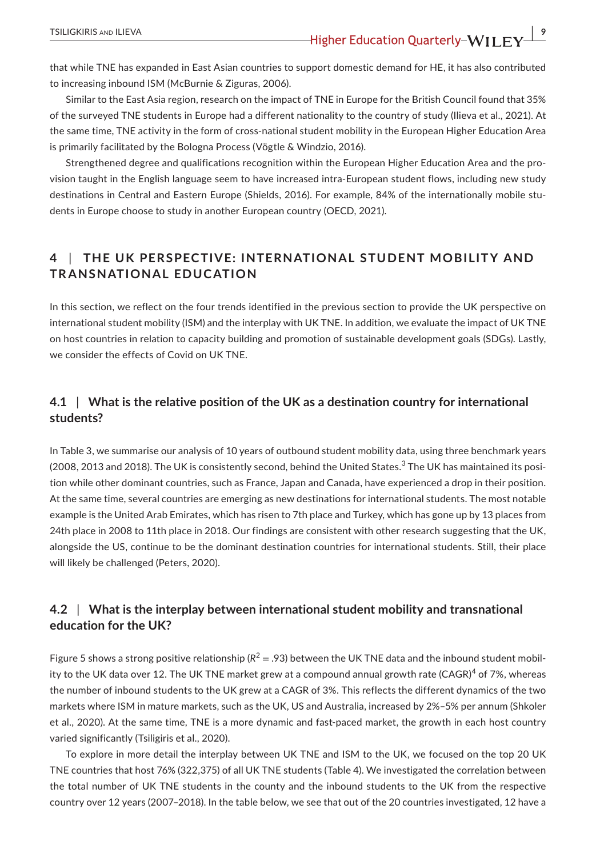that while TNE has expanded in East Asian countries to support domestic demand for HE, it has also contributed to increasing inbound ISM (McBurnie & Ziguras, 2006).

Similar to the East Asia region, research on the impact of TNE in Europe for the British Council found that 35% of the surveyed TNE students in Europe had a different nationality to the country of study (Ilieva et al., 2021). At the same time, TNE activity in the form of cross-national student mobility in the European Higher Education Area is primarily facilitated by the Bologna Process (Vögtle & Windzio, 2016).

Strengthened degree and qualifications recognition within the European Higher Education Area and the provision taught in the English language seem to have increased intra-European student flows, including new study destinations in Central and Eastern Europe (Shields, 2016). For example, 84% of the internationally mobile students in Europe choose to study in another European country (OECD, 2021).

# **4** | **THE UK PERSPEC TIVE: INTERNATIONAL STUDENT MOBILIT Y AND TRANSNATIONAL EDUCATION**

In this section, we reflect on the four trends identified in the previous section to provide the UK perspective on international student mobility (ISM) and the interplay with UK TNE. In addition, we evaluate the impact of UK TNE on host countries in relation to capacity building and promotion of sustainable development goals (SDGs). Lastly, we consider the effects of Covid on UK TNE.

# **4.1** | **What is the relative position of the UK as a destination country for international students?**

In Table 3, we summarise our analysis of 10 years of outbound student mobility data, using three benchmark years (2008, 2013 and 2018). The UK is consistently second, behind the United States. $^3$  The UK has maintained its position while other dominant countries, such as France, Japan and Canada, have experienced a drop in their position. At the same time, several countries are emerging as new destinations for international students. The most notable example is the United Arab Emirates, which has risen to 7th place and Turkey, which has gone up by 13 places from 24th place in 2008 to 11th place in 2018. Our findings are consistent with other research suggesting that the UK, alongside the US, continue to be the dominant destination countries for international students. Still, their place will likely be challenged (Peters, 2020).

# **4.2** | **What is the interplay between international student mobility and transnational education for the UK?**

Figure 5 shows a strong positive relationship ( $R^2 = .93$ ) between the UK TNE data and the inbound student mobility to the UK data over 12. The UK TNE market grew at a compound annual growth rate (CAGR) $^4$  of 7%, whereas the number of inbound students to the UK grew at a CAGR of 3%. This reflects the different dynamics of the two markets where ISM in mature markets, such as the UK, US and Australia, increased by 2%–5% per annum (Shkoler et al., 2020). At the same time, TNE is a more dynamic and fast-paced market, the growth in each host country varied significantly (Tsiligiris et al., 2020).

To explore in more detail the interplay between UK TNE and ISM to the UK, we focused on the top 20 UK TNE countries that host 76% (322,375) of all UK TNE students (Table 4). We investigated the correlation between the total number of UK TNE students in the county and the inbound students to the UK from the respective country over 12 years (2007–2018). In the table below, we see that out of the 20 countries investigated, 12 have a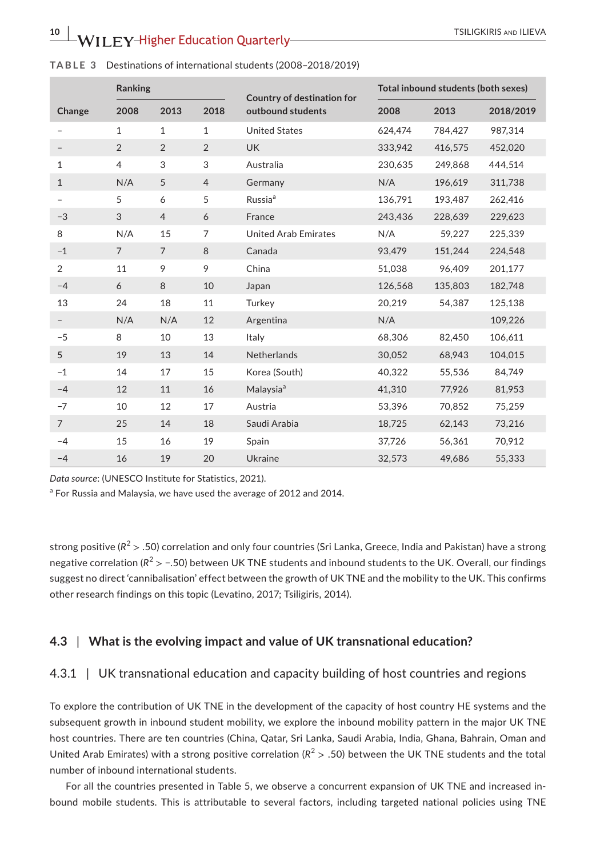|                | <b>Ranking</b> |                |                | Country of destination for  |         | Total inbound students (both sexes) |           |
|----------------|----------------|----------------|----------------|-----------------------------|---------|-------------------------------------|-----------|
| Change         | 2008           | 2013           | 2018           | outbound students           | 2008    | 2013                                | 2018/2019 |
|                | $\mathbf{1}$   | $\mathbf{1}$   | $\mathbf{1}$   | <b>United States</b>        | 624,474 | 784,427                             | 987.314   |
|                | 2              | $\overline{2}$ | $\overline{2}$ | <b>UK</b>                   | 333,942 | 416,575                             | 452,020   |
| $\mathbf{1}$   | $\overline{4}$ | 3              | 3              | Australia                   | 230,635 | 249,868                             | 444,514   |
| $\mathbf{1}$   | N/A            | 5              | $\overline{4}$ | Germany                     | N/A     | 196,619                             | 311,738   |
|                | 5              | 6              | 5              | Russia <sup>a</sup>         | 136,791 | 193,487                             | 262,416   |
| $-3$           | 3              | $\overline{4}$ | 6              | France                      | 243,436 | 228,639                             | 229,623   |
| 8              | N/A            | 15             | $\overline{7}$ | <b>United Arab Emirates</b> | N/A     | 59.227                              | 225,339   |
| $-1$           | $\overline{7}$ | $\overline{7}$ | 8              | Canada                      | 93,479  | 151,244                             | 224,548   |
| 2              | 11             | 9              | 9              | China                       | 51,038  | 96,409                              | 201,177   |
| $-4$           | 6              | 8              | 10             | Japan                       | 126,568 | 135,803                             | 182,748   |
| 13             | 24             | 18             | 11             | Turkey                      | 20,219  | 54,387                              | 125,138   |
|                | N/A            | N/A            | 12             | Argentina                   | N/A     |                                     | 109,226   |
| $-5$           | 8              | 10             | 13             | Italy                       | 68,306  | 82,450                              | 106,611   |
| 5              | 19             | 13             | 14             | Netherlands                 | 30,052  | 68,943                              | 104,015   |
| $-1$           | 14             | 17             | 15             | Korea (South)               | 40,322  | 55,536                              | 84,749    |
| $-4$           | 12             | 11             | 16             | Malaysia <sup>a</sup>       | 41,310  | 77,926                              | 81,953    |
| $-7$           | 10             | 12             | 17             | Austria                     | 53.396  | 70,852                              | 75,259    |
| $\overline{7}$ | 25             | 14             | 18             | Saudi Arabia                | 18,725  | 62,143                              | 73,216    |
| $-4$           | 15             | 16             | 19             | Spain                       | 37,726  | 56,361                              | 70,912    |
| $-4$           | 16             | 19             | 20             | Ukraine                     | 32,573  | 49,686                              | 55,333    |

**TABLE 3** Destinations of international students (2008–2018/2019)

*Data source*: (UNESCO Institute for Statistics, 2021).

<sup>a</sup> For Russia and Malaysia, we have used the average of 2012 and 2014.

strong positive ( $R^2$  > .50) correlation and only four countries (Sri Lanka, Greece, India and Pakistan) have a strong negative correlation ( $R^2 > -0.50$ ) between UK TNE students and inbound students to the UK. Overall, our findings suggest no direct 'cannibalisation' effect between the growth of UK TNE and the mobility to the UK. This confirms other research findings on this topic (Levatino, 2017; Tsiligiris, 2014).

# **4.3** | **What is the evolving impact and value of UK transnational education?**

### 4.3.1 | UK transnational education and capacity building of host countries and regions

To explore the contribution of UK TNE in the development of the capacity of host country HE systems and the subsequent growth in inbound student mobility, we explore the inbound mobility pattern in the major UK TNE host countries. There are ten countries (China, Qatar, Sri Lanka, Saudi Arabia, India, Ghana, Bahrain, Oman and United Arab Emirates) with a strong positive correlation  $(R^2 > .50)$  between the UK TNE students and the total number of inbound international students.

For all the countries presented in Table 5, we observe a concurrent expansion of UK TNE and increased inbound mobile students. This is attributable to several factors, including targeted national policies using TNE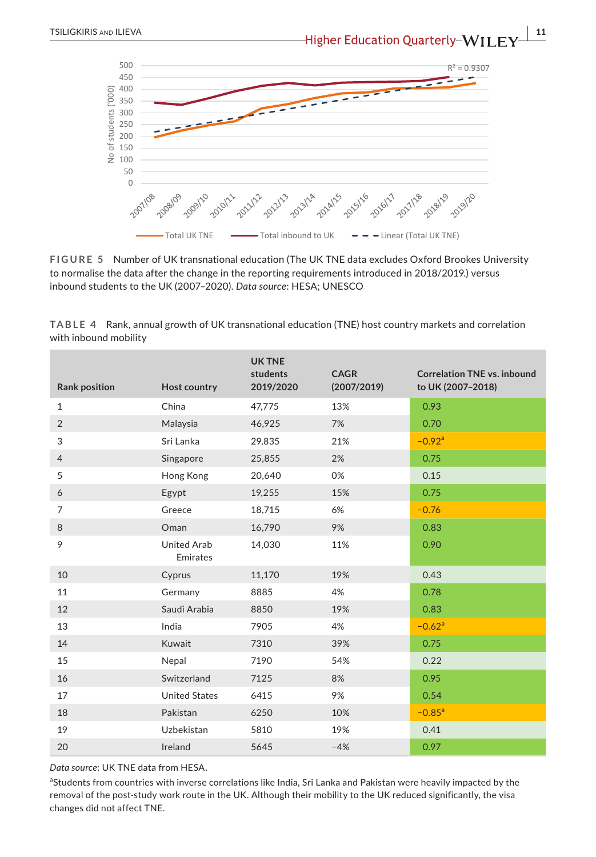

**FIGURE 5** Number of UK transnational education (The UK TNE data excludes Oxford Brookes University to normalise the data after the change in the reporting requirements introduced in 2018/2019.) versus inbound students to the UK (2007–2020). *Data source*: HESA; UNESCO

**TABLE 4** Rank, annual growth of UK transnational education (TNE) host country markets and correlation with inbound mobility

| <b>Rank position</b> | Host country                   | <b>UK TNE</b><br>students<br>2019/2020 | <b>CAGR</b><br>(2007/2019) | <b>Correlation TNE vs. inbound</b><br>to UK (2007-2018) |
|----------------------|--------------------------------|----------------------------------------|----------------------------|---------------------------------------------------------|
| $\mathbf{1}$         | China                          | 47,775                                 | 13%                        | 0.93                                                    |
| 2                    | Malaysia                       | 46,925                                 | 7%                         | 0.70                                                    |
| 3                    | Sri Lanka                      | 29,835                                 | 21%                        | $-0.92$ <sup>a</sup>                                    |
| $\overline{4}$       | Singapore                      | 25,855                                 | 2%                         | 0.75                                                    |
| 5                    | Hong Kong                      | 20,640                                 | 0%                         | 0.15                                                    |
| 6                    | Egypt                          | 19,255                                 | 15%                        | 0.75                                                    |
| 7                    | Greece                         | 18,715                                 | 6%                         | $-0.76$                                                 |
| 8                    | Oman                           | 16,790                                 | 9%                         | 0.83                                                    |
| 9                    | <b>United Arab</b><br>Emirates | 14,030                                 | 11%                        | 0.90                                                    |
| 10                   | Cyprus                         | 11,170                                 | 19%                        | 0.43                                                    |
| 11                   | Germany                        | 8885                                   | 4%                         | 0.78                                                    |
| 12                   | Saudi Arabia                   | 8850                                   | 19%                        | 0.83                                                    |
| 13                   | India                          | 7905                                   | 4%                         | $-0.62$ <sup>a</sup>                                    |
| 14                   | Kuwait                         | 7310                                   | 39%                        | 0.75                                                    |
| 15                   | Nepal                          | 7190                                   | 54%                        | 0.22                                                    |
| 16                   | Switzerland                    | 7125                                   | 8%                         | 0.95                                                    |
| 17                   | <b>United States</b>           | 6415                                   | 9%                         | 0.54                                                    |
| 18                   | Pakistan                       | 6250                                   | 10%                        | $-0.85$ <sup>a</sup>                                    |
| 19                   | <b>Uzbekistan</b>              | 5810                                   | 19%                        | 0.41                                                    |
| 20                   | Ireland                        | 5645                                   | $-4%$                      | 0.97                                                    |
|                      |                                |                                        |                            |                                                         |

*Data source*: UK TNE data from HESA.

aStudents from countries with inverse correlations like India, Sri Lanka and Pakistan were heavily impacted by the removal of the post-study work route in the UK. Although their mobility to the UK reduced significantly, the visa changes did not affect TNE.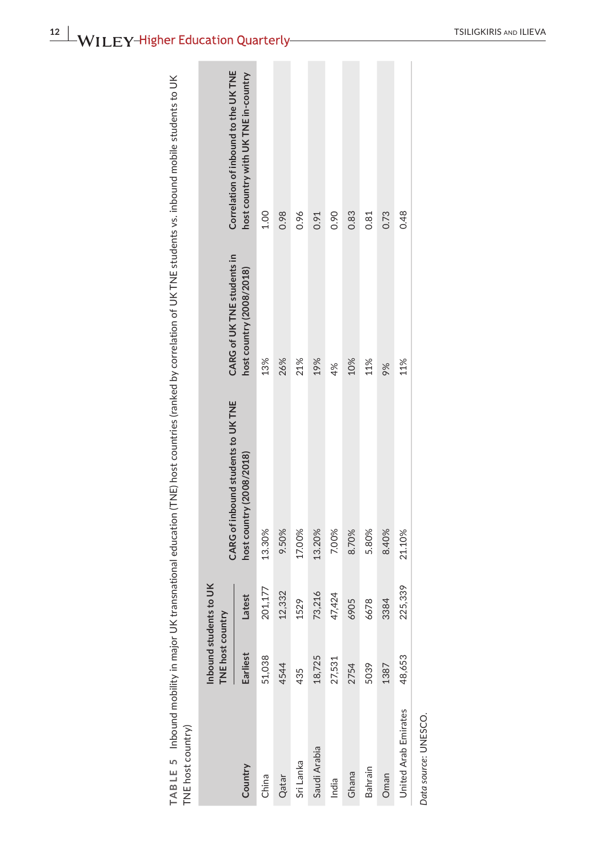| J<br>j<br><b>Section</b><br>֧֦֧֦֧ <u>֚֓</u> ֚֓                                                                                                                                 |                         |
|--------------------------------------------------------------------------------------------------------------------------------------------------------------------------------|-------------------------|
| -<br>-<br>-<br>ì<br>$\frac{1}{2}$<br>$\mathbf{I}$                                                                                                                              |                         |
| ì<br>$\overline{\phantom{a}}$<br>,<br>)<br>ֺ֚֚<br>֚<br>j<br>֧֧֧֦֧֦֦֧֦֧֦֧֦֧ׅ֧֧֧֧֧֧֧֧֧֧֧֛֛֛֛֪֪֪֪֪֪֛֪֛֪֛֪֪֪֪֪֪֛֚֚֚֚֚֚֚֚֚֚֚֚֚֚֚֚֚֚֚֝֘֝֘֝֓֝֓֝֬֝֓֝֬֝֓֟֓֜֓֝֓֜֝֓֝֬֝֓֝֬֝֬֝֬֝֬֝֬֝֝֝֝֝֝֝֝ |                         |
| ĺ<br>J<br>:<br>ļ<br>י<br>צויי                                                                                                                                                  |                         |
| )<br>İ<br>ś<br>)<br>)<br>ا<br>ا<br>֧֧֦֧֖֖֧֧֚֚֚֚֚֚֚֚֚֚֚֝֝֬֝֓ <u>֚֓</u><br>ļ<br>$\frac{1}{2}$<br>d                                                                               | į<br>i<br>5<br>ׇ֓֡<br>I |
| ļ<br>J<br>١<br>j<br>L<br>J<br>J<br>ì<br>l                                                                                                                                      | Ì<br>Ì<br>ļ<br>j<br>J   |

| TNE host country)    |                                            |         | TABLE 5 Inbound mobility in major UK transnational education (TNE) host countries (ranked by correlation of UK TNE students vs. inbound mobile students to UK |                            |                                      |
|----------------------|--------------------------------------------|---------|---------------------------------------------------------------------------------------------------------------------------------------------------------------|----------------------------|--------------------------------------|
|                      | Inbound students to UK<br>TNE host country |         | CARG of inbound students to UKTNE                                                                                                                             | CARG of UK TNE students in | Correlation of inbound to the UK TNE |
| Country              | Earliest                                   | Latest  | host country (2008/2018)                                                                                                                                      | host country (2008/2018)   | host country with UK TNE in-country  |
| China                | 51,038                                     | 201,177 | 13.30%                                                                                                                                                        | 13%                        | 1.00                                 |
| Qatar                | 4544                                       | 12,332  | 9.50%                                                                                                                                                         | 26%                        | 0.98                                 |
| Sri Lanka            | 435                                        | 1529    | 17.00%                                                                                                                                                        | 21%                        | 0.96                                 |
| Saudi Arabia         | 18,725                                     | 73,216  | 13.20%                                                                                                                                                        | 19%                        | 0.91                                 |
| India                | 27,531                                     | 47,424  | 7.00%                                                                                                                                                         | 4%                         | 0.90                                 |
| Ghana                | 2754                                       | 6905    | 8.70%                                                                                                                                                         | 10%                        | 0.83                                 |
| <b>Bahrain</b>       | 5039                                       | 6678    | 5.80%                                                                                                                                                         | 11%                        | 0.81                                 |
| Oman                 | 1387                                       | 3384    | 8.40%                                                                                                                                                         | 9%                         | 0.73                                 |
| United Arab Emirates | 48,653                                     | 225,339 | 21.10%                                                                                                                                                        | 11%                        | 0.48                                 |
| Data source: UNESCO. |                                            |         |                                                                                                                                                               |                            |                                      |

**12 <sup>|</sup>**  TSILIGKIRIS and ILIEVA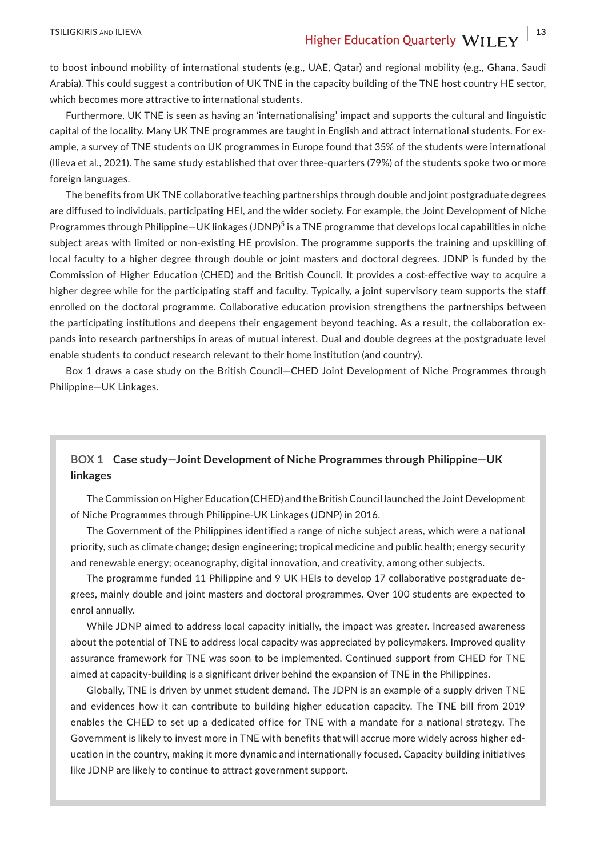to boost inbound mobility of international students (e.g., UAE, Qatar) and regional mobility (e.g., Ghana, Saudi Arabia). This could suggest a contribution of UK TNE in the capacity building of the TNE host country HE sector, which becomes more attractive to international students.

Furthermore, UK TNE is seen as having an 'internationalising' impact and supports the cultural and linguistic capital of the locality. Many UK TNE programmes are taught in English and attract international students. For example, a survey of TNE students on UK programmes in Europe found that 35% of the students were international (Ilieva et al., 2021). The same study established that over three-quarters (79%) of the students spoke two or more foreign languages.

The benefits from UK TNE collaborative teaching partnerships through double and joint postgraduate degrees are diffused to individuals, participating HEI, and the wider society. For example, the Joint Development of Niche Programmes through Philippine—UK linkages (JDNP)<sup>5</sup> is a TNE programme that develops local capabilities in niche subject areas with limited or non-existing HE provision. The programme supports the training and upskilling of local faculty to a higher degree through double or joint masters and doctoral degrees. JDNP is funded by the Commission of Higher Education (CHED) and the British Council. It provides a cost-effective way to acquire a higher degree while for the participating staff and faculty. Typically, a joint supervisory team supports the staff enrolled on the doctoral programme. Collaborative education provision strengthens the partnerships between the participating institutions and deepens their engagement beyond teaching. As a result, the collaboration expands into research partnerships in areas of mutual interest. Dual and double degrees at the postgraduate level enable students to conduct research relevant to their home institution (and country).

Box 1 draws a case study on the British Council—CHED Joint Development of Niche Programmes through Philippine—UK Linkages.

# **BOX 1 Case study—Joint Development of Niche Programmes through Philippine—UK linkages**

The Commission on Higher Education (CHED) and the British Council launched the Joint Development of Niche Programmes through Philippine-UK Linkages (JDNP) in 2016.

The Government of the Philippines identified a range of niche subject areas, which were a national priority, such as climate change; design engineering; tropical medicine and public health; energy security and renewable energy; oceanography, digital innovation, and creativity, among other subjects.

The programme funded 11 Philippine and 9 UK HEIs to develop 17 collaborative postgraduate degrees, mainly double and joint masters and doctoral programmes. Over 100 students are expected to enrol annually.

While JDNP aimed to address local capacity initially, the impact was greater. Increased awareness about the potential of TNE to address local capacity was appreciated by policymakers. Improved quality assurance framework for TNE was soon to be implemented. Continued support from CHED for TNE aimed at capacity-building is a significant driver behind the expansion of TNE in the Philippines.

Globally, TNE is driven by unmet student demand. The JDPN is an example of a supply driven TNE and evidences how it can contribute to building higher education capacity. The TNE bill from 2019 enables the CHED to set up a dedicated office for TNE with a mandate for a national strategy. The Government is likely to invest more in TNE with benefits that will accrue more widely across higher education in the country, making it more dynamic and internationally focused. Capacity building initiatives like JDNP are likely to continue to attract government support.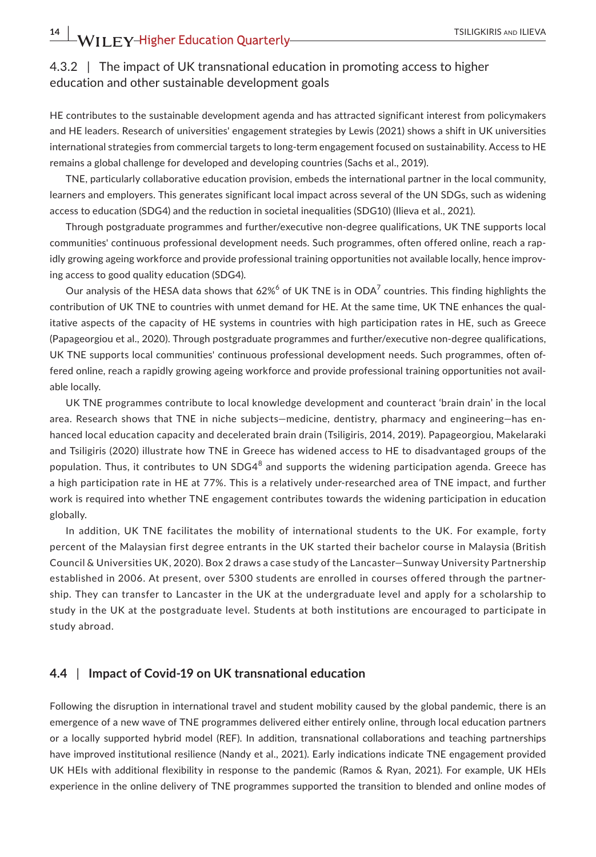# 4.3.2 | The impact of UK transnational education in promoting access to higher education and other sustainable development goals

HE contributes to the sustainable development agenda and has attracted significant interest from policymakers and HE leaders. Research of universities' engagement strategies by Lewis (2021) shows a shift in UK universities international strategies from commercial targets to long-term engagement focused on sustainability. Access to HE remains a global challenge for developed and developing countries (Sachs et al., 2019).

TNE, particularly collaborative education provision, embeds the international partner in the local community, learners and employers. This generates significant local impact across several of the UN SDGs, such as widening access to education (SDG4) and the reduction in societal inequalities (SDG10) (Ilieva et al., 2021).

Through postgraduate programmes and further/executive non-degree qualifications, UK TNE supports local communities' continuous professional development needs. Such programmes, often offered online, reach a rapidly growing ageing workforce and provide professional training opportunities not available locally, hence improving access to good quality education (SDG4).

Our analysis of the HESA data shows that 62% $^6$  of UK TNE is in ODA $^7$  countries. This finding highlights the contribution of UK TNE to countries with unmet demand for HE. At the same time, UK TNE enhances the qualitative aspects of the capacity of HE systems in countries with high participation rates in HE, such as Greece (Papageorgiou et al., 2020). Through postgraduate programmes and further/executive non-degree qualifications, UK TNE supports local communities' continuous professional development needs. Such programmes, often offered online, reach a rapidly growing ageing workforce and provide professional training opportunities not available locally.

UK TNE programmes contribute to local knowledge development and counteract 'brain drain' in the local area. Research shows that TNE in niche subjects—medicine, dentistry, pharmacy and engineering—has enhanced local education capacity and decelerated brain drain (Tsiligiris, 2014, 2019). Papageorgiou, Makelaraki and Tsiligiris (2020) illustrate how TNE in Greece has widened access to HE to disadvantaged groups of the population. Thus, it contributes to UN SDG4 $^8$  and supports the widening participation agenda. Greece has a high participation rate in HE at 77%. This is a relatively under-researched area of TNE impact, and further work is required into whether TNE engagement contributes towards the widening participation in education globally.

In addition, UK TNE facilitates the mobility of international students to the UK. For example, forty percent of the Malaysian first degree entrants in the UK started their bachelor course in Malaysia (British Council & Universities UK, 2020). Box 2 draws a case study of the Lancaster—Sunway University Partnership established in 2006. At present, over 5300 students are enrolled in courses offered through the partnership. They can transfer to Lancaster in the UK at the undergraduate level and apply for a scholarship to study in the UK at the postgraduate level. Students at both institutions are encouraged to participate in study abroad.

### **4.4** | **Impact of Covid-19 on UK transnational education**

Following the disruption in international travel and student mobility caused by the global pandemic, there is an emergence of a new wave of TNE programmes delivered either entirely online, through local education partners or a locally supported hybrid model (REF). In addition, transnational collaborations and teaching partnerships have improved institutional resilience (Nandy et al., 2021). Early indications indicate TNE engagement provided UK HEIs with additional flexibility in response to the pandemic (Ramos & Ryan, 2021). For example, UK HEIs experience in the online delivery of TNE programmes supported the transition to blended and online modes of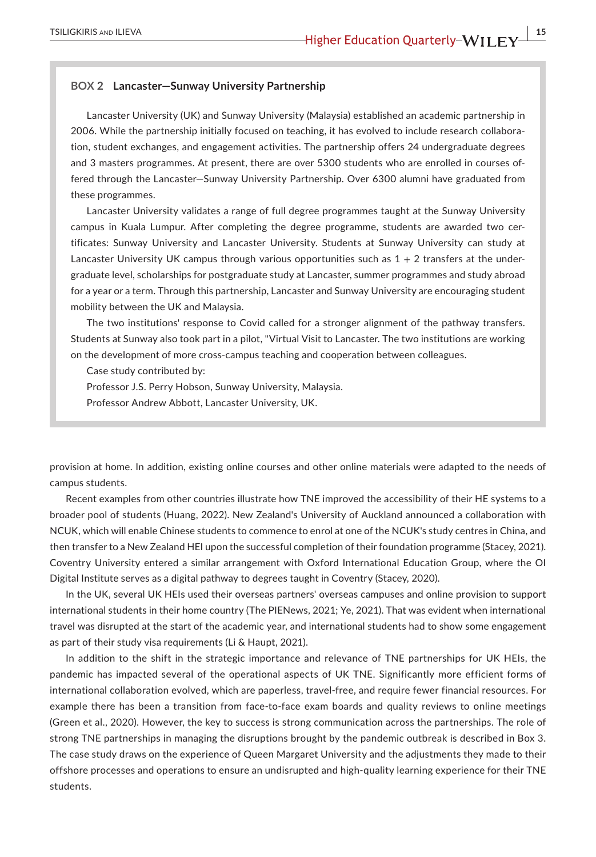#### **BOX 2 Lancaster—Sunway University Partnership**

Lancaster University (UK) and Sunway University (Malaysia) established an academic partnership in 2006. While the partnership initially focused on teaching, it has evolved to include research collaboration, student exchanges, and engagement activities. The partnership offers 24 undergraduate degrees and 3 masters programmes. At present, there are over 5300 students who are enrolled in courses offered through the Lancaster—Sunway University Partnership. Over 6300 alumni have graduated from these programmes.

Lancaster University validates a range of full degree programmes taught at the Sunway University campus in Kuala Lumpur. After completing the degree programme, students are awarded two certificates: Sunway University and Lancaster University. Students at Sunway University can study at Lancaster University UK campus through various opportunities such as  $1 + 2$  transfers at the undergraduate level, scholarships for postgraduate study at Lancaster, summer programmes and study abroad for a year or a term. Through this partnership, Lancaster and Sunway University are encouraging student mobility between the UK and Malaysia.

The two institutions' response to Covid called for a stronger alignment of the pathway transfers. Students at Sunway also took part in a pilot, "Virtual Visit to Lancaster. The two institutions are working on the development of more cross-campus teaching and cooperation between colleagues.

Case study contributed by:

Professor J.S. Perry Hobson, Sunway University, Malaysia.

Professor Andrew Abbott, Lancaster University, UK.

provision at home. In addition, existing online courses and other online materials were adapted to the needs of campus students.

Recent examples from other countries illustrate how TNE improved the accessibility of their HE systems to a broader pool of students (Huang, 2022). New Zealand's University of Auckland announced a collaboration with NCUK, which will enable Chinese students to commence to enrol at one of the NCUK's study centres in China, and then transfer to a New Zealand HEI upon the successful completion of their foundation programme (Stacey, 2021). Coventry University entered a similar arrangement with Oxford International Education Group, where the OI Digital Institute serves as a digital pathway to degrees taught in Coventry (Stacey, 2020).

In the UK, several UK HEIs used their overseas partners' overseas campuses and online provision to support international students in their home country (The PIENews, 2021; Ye, 2021). That was evident when international travel was disrupted at the start of the academic year, and international students had to show some engagement as part of their study visa requirements (Li & Haupt, 2021).

In addition to the shift in the strategic importance and relevance of TNE partnerships for UK HEIs, the pandemic has impacted several of the operational aspects of UK TNE. Significantly more efficient forms of international collaboration evolved, which are paperless, travel-free, and require fewer financial resources. For example there has been a transition from face-to-face exam boards and quality reviews to online meetings (Green et al., 2020). However, the key to success is strong communication across the partnerships. The role of strong TNE partnerships in managing the disruptions brought by the pandemic outbreak is described in Box 3. The case study draws on the experience of Queen Margaret University and the adjustments they made to their offshore processes and operations to ensure an undisrupted and high-quality learning experience for their TNE students.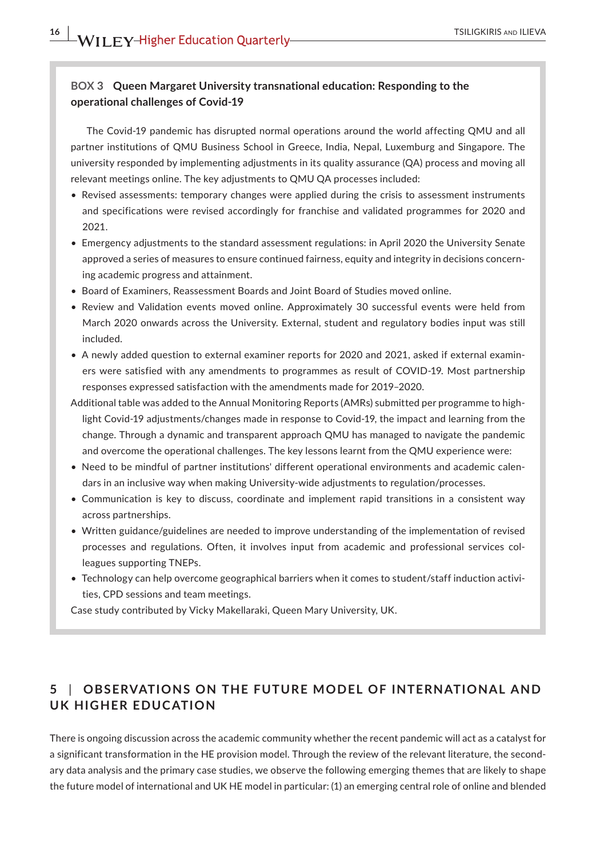# **BOX 3 Queen Margaret University transnational education: Responding to the operational challenges of Covid-19**

The Covid-19 pandemic has disrupted normal operations around the world affecting QMU and all partner institutions of QMU Business School in Greece, India, Nepal, Luxemburg and Singapore. The university responded by implementing adjustments in its quality assurance (QA) process and moving all relevant meetings online. The key adjustments to QMU QA processes included:

- Revised assessments: temporary changes were applied during the crisis to assessment instruments and specifications were revised accordingly for franchise and validated programmes for 2020 and 2021.
- Emergency adjustments to the standard assessment regulations: in April 2020 the University Senate approved a series of measures to ensure continued fairness, equity and integrity in decisions concerning academic progress and attainment.
- Board of Examiners, Reassessment Boards and Joint Board of Studies moved online.
- Review and Validation events moved online. Approximately 30 successful events were held from March 2020 onwards across the University. External, student and regulatory bodies input was still included.
- A newly added question to external examiner reports for 2020 and 2021, asked if external examiners were satisfied with any amendments to programmes as result of COVID-19. Most partnership responses expressed satisfaction with the amendments made for 2019–2020.
- Additional table was added to the Annual Monitoring Reports (AMRs) submitted per programme to highlight Covid-19 adjustments/changes made in response to Covid-19, the impact and learning from the change. Through a dynamic and transparent approach QMU has managed to navigate the pandemic and overcome the operational challenges. The key lessons learnt from the QMU experience were:
- Need to be mindful of partner institutions' different operational environments and academic calendars in an inclusive way when making University-wide adjustments to regulation/processes.
- Communication is key to discuss, coordinate and implement rapid transitions in a consistent way across partnerships.
- Written guidance/guidelines are needed to improve understanding of the implementation of revised processes and regulations. Often, it involves input from academic and professional services colleagues supporting TNEPs.
- Technology can help overcome geographical barriers when it comes to student/staff induction activities, CPD sessions and team meetings.

Case study contributed by Vicky Makellaraki, Queen Mary University, UK.

# **5** | **OBSERVATIONS ON THE FUTURE MODEL OF INTERNATIONAL AND UK HIGHER EDUCATION**

There is ongoing discussion across the academic community whether the recent pandemic will act as a catalyst for a significant transformation in the HE provision model. Through the review of the relevant literature, the secondary data analysis and the primary case studies, we observe the following emerging themes that are likely to shape the future model of international and UK HE model in particular: (1) an emerging central role of online and blended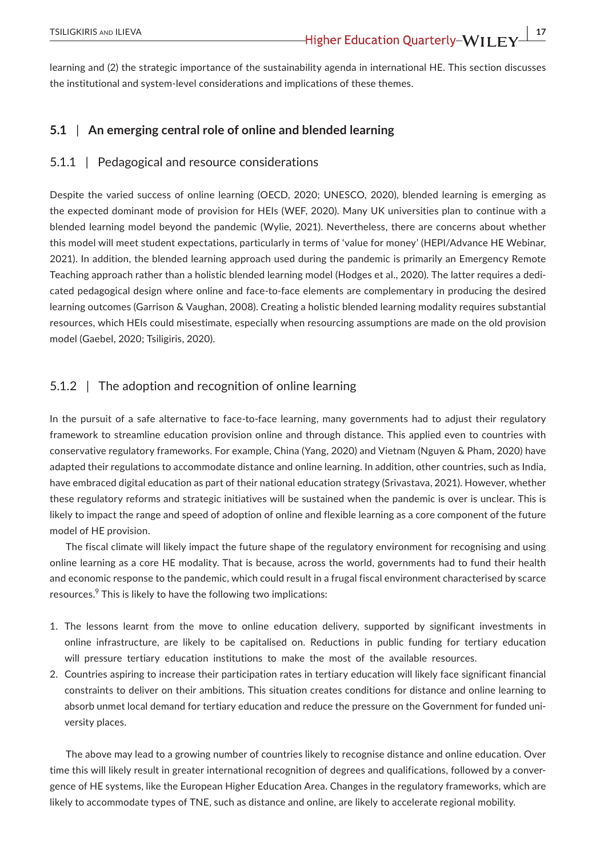learning and (2) the strategic importance of the sustainability agenda in international HE. This section discusses the institutional and system-level considerations and implications of these themes.

### **5.1** | **An emerging central role of online and blended learning**

### 5.1.1 | Pedagogical and resource considerations

Despite the varied success of online learning (OECD, 2020; UNESCO, 2020), blended learning is emerging as the expected dominant mode of provision for HEIs (WEF, 2020). Many UK universities plan to continue with a blended learning model beyond the pandemic (Wylie, 2021). Nevertheless, there are concerns about whether this model will meet student expectations, particularly in terms of 'value for money' (HEPI/Advance HE Webinar, 2021). In addition, the blended learning approach used during the pandemic is primarily an Emergency Remote Teaching approach rather than a holistic blended learning model (Hodges et al., 2020). The latter requires a dedicated pedagogical design where online and face-to-face elements are complementary in producing the desired learning outcomes (Garrison & Vaughan, 2008). Creating a holistic blended learning modality requires substantial resources, which HEIs could misestimate, especially when resourcing assumptions are made on the old provision model (Gaebel, 2020; Tsiligiris, 2020).

# 5.1.2 | The adoption and recognition of online learning

In the pursuit of a safe alternative to face-to-face learning, many governments had to adjust their regulatory framework to streamline education provision online and through distance. This applied even to countries with conservative regulatory frameworks. For example, China (Yang, 2020) and Vietnam (Nguyen & Pham, 2020) have adapted their regulations to accommodate distance and online learning. In addition, other countries, such as India, have embraced digital education as part of their national education strategy (Srivastava, 2021). However, whether these regulatory reforms and strategic initiatives will be sustained when the pandemic is over is unclear. This is likely to impact the range and speed of adoption of online and flexible learning as a core component of the future model of HE provision.

The fiscal climate will likely impact the future shape of the regulatory environment for recognising and using online learning as a core HE modality. That is because, across the world, governments had to fund their health and economic response to the pandemic, which could result in a frugal fiscal environment characterised by scarce resources.<sup>9</sup> This is likely to have the following two implications:

- 1. The lessons learnt from the move to online education delivery, supported by significant investments in online infrastructure, are likely to be capitalised on. Reductions in public funding for tertiary education will pressure tertiary education institutions to make the most of the available resources.
- 2. Countries aspiring to increase their participation rates in tertiary education will likely face significant financial constraints to deliver on their ambitions. This situation creates conditions for distance and online learning to absorb unmet local demand for tertiary education and reduce the pressure on the Government for funded university places.

The above may lead to a growing number of countries likely to recognise distance and online education. Over time this will likely result in greater international recognition of degrees and qualifications, followed by a convergence of HE systems, like the European Higher Education Area. Changes in the regulatory frameworks, which are likely to accommodate types of TNE, such as distance and online, are likely to accelerate regional mobility.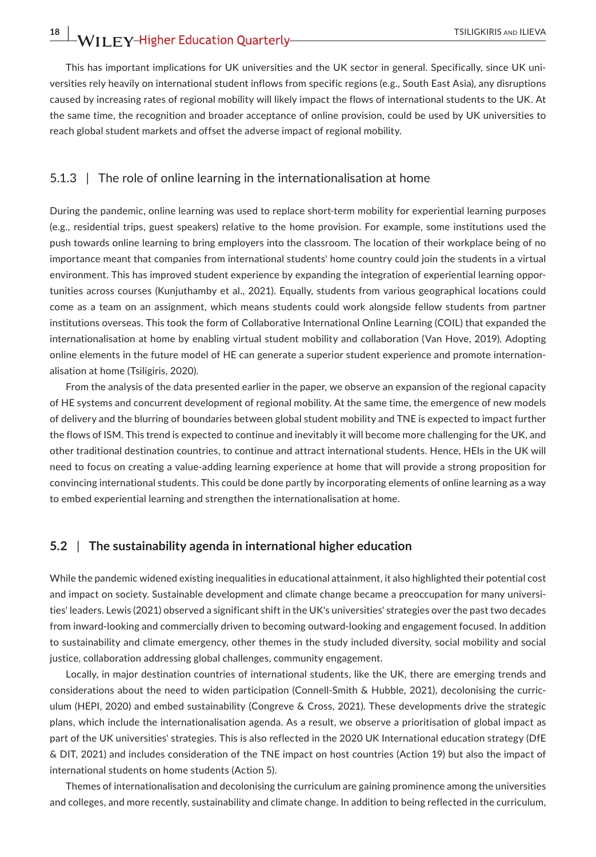This has important implications for UK universities and the UK sector in general. Specifically, since UK universities rely heavily on international student inflows from specific regions (e.g., South East Asia), any disruptions caused by increasing rates of regional mobility will likely impact the flows of international students to the UK. At the same time, the recognition and broader acceptance of online provision, could be used by UK universities to reach global student markets and offset the adverse impact of regional mobility.

### 5.1.3 | The role of online learning in the internationalisation at home

During the pandemic, online learning was used to replace short-term mobility for experiential learning purposes (e.g., residential trips, guest speakers) relative to the home provision. For example, some institutions used the push towards online learning to bring employers into the classroom. The location of their workplace being of no importance meant that companies from international students' home country could join the students in a virtual environment. This has improved student experience by expanding the integration of experiential learning opportunities across courses (Kunjuthamby et al., 2021). Equally, students from various geographical locations could come as a team on an assignment, which means students could work alongside fellow students from partner institutions overseas. This took the form of Collaborative International Online Learning (COIL) that expanded the internationalisation at home by enabling virtual student mobility and collaboration (Van Hove, 2019). Adopting online elements in the future model of HE can generate a superior student experience and promote internationalisation at home (Tsiligiris, 2020).

From the analysis of the data presented earlier in the paper, we observe an expansion of the regional capacity of HE systems and concurrent development of regional mobility. At the same time, the emergence of new models of delivery and the blurring of boundaries between global student mobility and TNE is expected to impact further the flows of ISM. This trend is expected to continue and inevitably it will become more challenging for the UK, and other traditional destination countries, to continue and attract international students. Hence, HEIs in the UK will need to focus on creating a value-adding learning experience at home that will provide a strong proposition for convincing international students. This could be done partly by incorporating elements of online learning as a way to embed experiential learning and strengthen the internationalisation at home.

### **5.2** | **The sustainability agenda in international higher education**

While the pandemic widened existing inequalities in educational attainment, it also highlighted their potential cost and impact on society. Sustainable development and climate change became a preoccupation for many universities' leaders. Lewis (2021) observed a significant shift in the UK's universities' strategies over the past two decades from inward-looking and commercially driven to becoming outward-looking and engagement focused. In addition to sustainability and climate emergency, other themes in the study included diversity, social mobility and social justice, collaboration addressing global challenges, community engagement.

Locally, in major destination countries of international students, like the UK, there are emerging trends and considerations about the need to widen participation (Connell-Smith & Hubble, 2021), decolonising the curriculum (HEPI, 2020) and embed sustainability (Congreve & Cross, 2021). These developments drive the strategic plans, which include the internationalisation agenda. As a result, we observe a prioritisation of global impact as part of the UK universities' strategies. This is also reflected in the 2020 UK International education strategy (DfE & DIT, 2021) and includes consideration of the TNE impact on host countries (Action 19) but also the impact of international students on home students (Action 5).

Themes of internationalisation and decolonising the curriculum are gaining prominence among the universities and colleges, and more recently, sustainability and climate change. In addition to being reflected in the curriculum,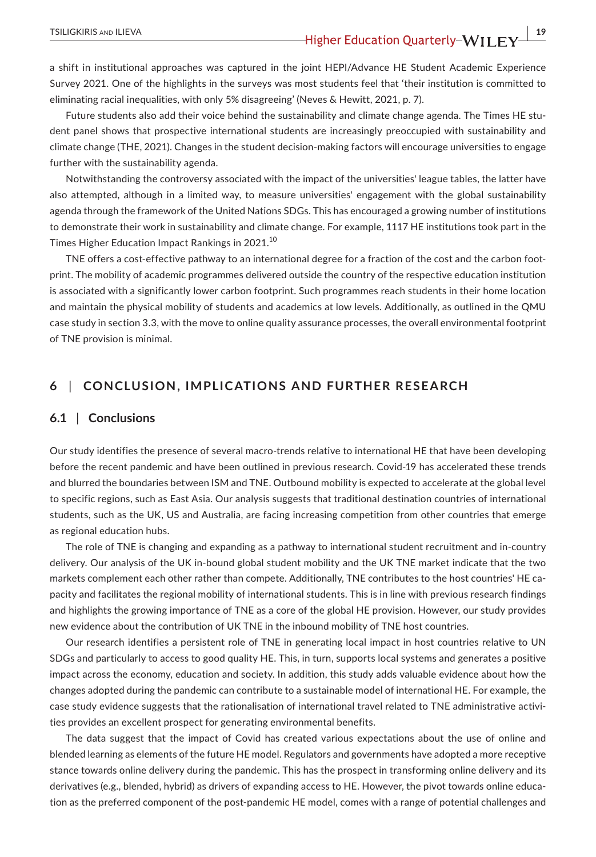a shift in institutional approaches was captured in the joint HEPI/Advance HE Student Academic Experience Survey 2021. One of the highlights in the surveys was most students feel that 'their institution is committed to eliminating racial inequalities, with only 5% disagreeing' (Neves & Hewitt, 2021, p. 7).

Future students also add their voice behind the sustainability and climate change agenda. The Times HE student panel shows that prospective international students are increasingly preoccupied with sustainability and climate change (THE, 2021). Changes in the student decision-making factors will encourage universities to engage further with the sustainability agenda.

Notwithstanding the controversy associated with the impact of the universities' league tables, the latter have also attempted, although in a limited way, to measure universities' engagement with the global sustainability agenda through the framework of the United Nations SDGs. This has encouraged a growing number of institutions to demonstrate their work in sustainability and climate change. For example, 1117 HE institutions took part in the Times Higher Education Impact Rankings in 2021.<sup>10</sup>

TNE offers a cost-effective pathway to an international degree for a fraction of the cost and the carbon footprint. The mobility of academic programmes delivered outside the country of the respective education institution is associated with a significantly lower carbon footprint. Such programmes reach students in their home location and maintain the physical mobility of students and academics at low levels. Additionally, as outlined in the QMU case study in section 3.3, with the move to online quality assurance processes, the overall environmental footprint of TNE provision is minimal.

# **6** | **CONCLUSION, IMPLICATIONS AND FURTHER RESEARCH**

## **6.1** | **Conclusions**

Our study identifies the presence of several macro-trends relative to international HE that have been developing before the recent pandemic and have been outlined in previous research. Covid-19 has accelerated these trends and blurred the boundaries between ISM and TNE. Outbound mobility is expected to accelerate at the global level to specific regions, such as East Asia. Our analysis suggests that traditional destination countries of international students, such as the UK, US and Australia, are facing increasing competition from other countries that emerge as regional education hubs.

The role of TNE is changing and expanding as a pathway to international student recruitment and in-country delivery. Our analysis of the UK in-bound global student mobility and the UK TNE market indicate that the two markets complement each other rather than compete. Additionally, TNE contributes to the host countries' HE capacity and facilitates the regional mobility of international students. This is in line with previous research findings and highlights the growing importance of TNE as a core of the global HE provision. However, our study provides new evidence about the contribution of UK TNE in the inbound mobility of TNE host countries.

Our research identifies a persistent role of TNE in generating local impact in host countries relative to UN SDGs and particularly to access to good quality HE. This, in turn, supports local systems and generates a positive impact across the economy, education and society. In addition, this study adds valuable evidence about how the changes adopted during the pandemic can contribute to a sustainable model of international HE. For example, the case study evidence suggests that the rationalisation of international travel related to TNE administrative activities provides an excellent prospect for generating environmental benefits.

The data suggest that the impact of Covid has created various expectations about the use of online and blended learning as elements of the future HE model. Regulators and governments have adopted a more receptive stance towards online delivery during the pandemic. This has the prospect in transforming online delivery and its derivatives (e.g., blended, hybrid) as drivers of expanding access to HE. However, the pivot towards online education as the preferred component of the post-pandemic HE model, comes with a range of potential challenges and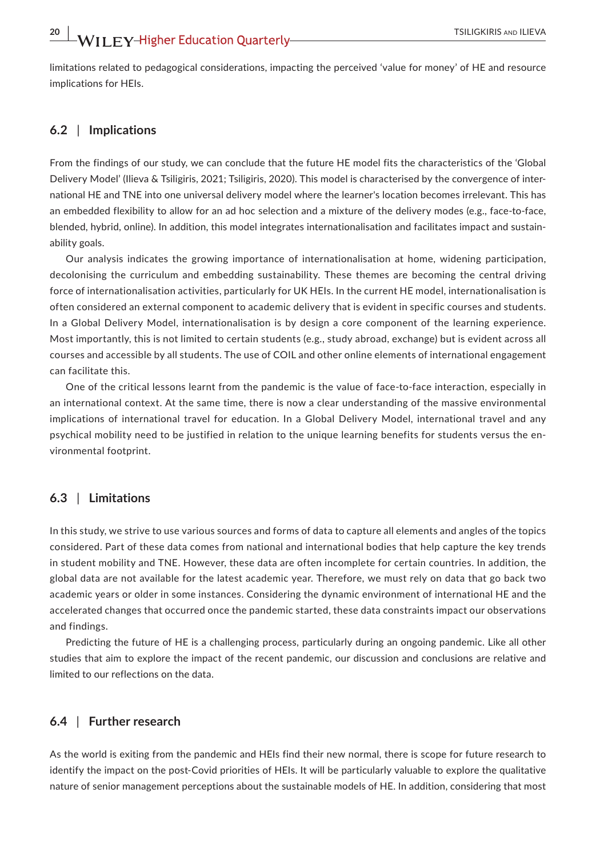limitations related to pedagogical considerations, impacting the perceived 'value for money' of HE and resource implications for HEIs.

### **6.2** | **Implications**

From the findings of our study, we can conclude that the future HE model fits the characteristics of the 'Global Delivery Model' (Ilieva & Tsiligiris, 2021; Tsiligiris, 2020). This model is characterised by the convergence of international HE and TNE into one universal delivery model where the learner's location becomes irrelevant. This has an embedded flexibility to allow for an ad hoc selection and a mixture of the delivery modes (e.g., face-to-face, blended, hybrid, online). In addition, this model integrates internationalisation and facilitates impact and sustainability goals.

Our analysis indicates the growing importance of internationalisation at home, widening participation, decolonising the curriculum and embedding sustainability. These themes are becoming the central driving force of internationalisation activities, particularly for UK HEIs. In the current HE model, internationalisation is often considered an external component to academic delivery that is evident in specific courses and students. In a Global Delivery Model, internationalisation is by design a core component of the learning experience. Most importantly, this is not limited to certain students (e.g., study abroad, exchange) but is evident across all courses and accessible by all students. The use of COIL and other online elements of international engagement can facilitate this.

One of the critical lessons learnt from the pandemic is the value of face-to-face interaction, especially in an international context. At the same time, there is now a clear understanding of the massive environmental implications of international travel for education. In a Global Delivery Model, international travel and any psychical mobility need to be justified in relation to the unique learning benefits for students versus the environmental footprint.

# **6.3** | **Limitations**

In this study, we strive to use various sources and forms of data to capture all elements and angles of the topics considered. Part of these data comes from national and international bodies that help capture the key trends in student mobility and TNE. However, these data are often incomplete for certain countries. In addition, the global data are not available for the latest academic year. Therefore, we must rely on data that go back two academic years or older in some instances. Considering the dynamic environment of international HE and the accelerated changes that occurred once the pandemic started, these data constraints impact our observations and findings.

Predicting the future of HE is a challenging process, particularly during an ongoing pandemic. Like all other studies that aim to explore the impact of the recent pandemic, our discussion and conclusions are relative and limited to our reflections on the data.

### **6.4** | **Further research**

As the world is exiting from the pandemic and HEIs find their new normal, there is scope for future research to identify the impact on the post-Covid priorities of HEIs. It will be particularly valuable to explore the qualitative nature of senior management perceptions about the sustainable models of HE. In addition, considering that most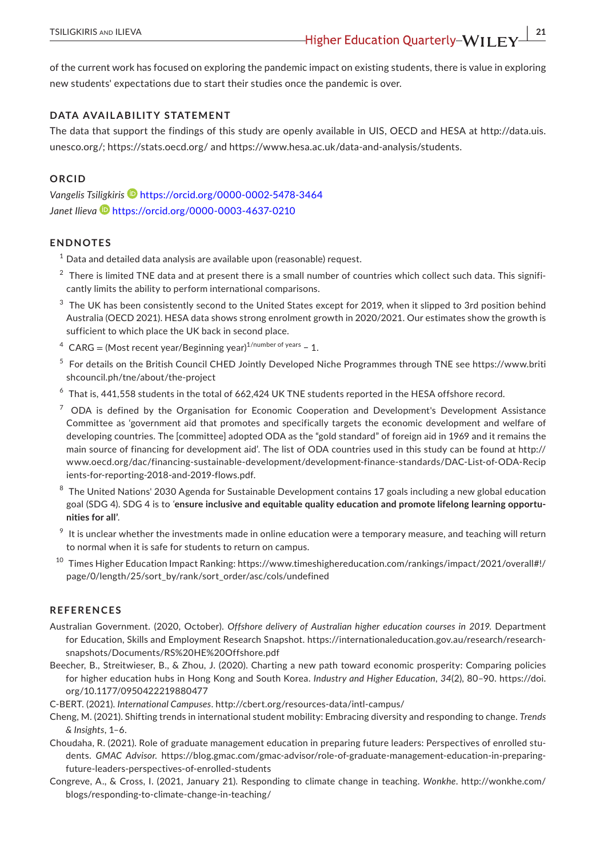of the current work has focused on exploring the pandemic impact on existing students, there is value in exploring new students' expectations due to start their studies once the pandemic is over.

### **DATA AVAILABILITY STATEMENT**

The data that support the findings of this study are openly available in UIS, OECD and HESA at [http://data.uis.](http://data.uis.unesco.org/) [unesco.org/](http://data.uis.unesco.org/); <https://stats.oecd.org/> and [https://www.hesa.ac.uk/data-and-analysis/students.](https://www.hesa.ac.uk/data-and-analysis/students)

### **ORCID**

*Vangelis Tsiligkiri[s](https://orcid.org/0000-0002-5478-3464)* <https://orcid.org/0000-0002-5478-3464> *Janet Ilieva* <https://orcid.org/0000-0003-4637-0210>

### **ENDNOTES**

- $1$  Data and detailed data analysis are available upon (reasonable) request.
- $2$  There is limited TNE data and at present there is a small number of countries which collect such data. This significantly limits the ability to perform international comparisons.
- $3$  The UK has been consistently second to the United States except for 2019, when it slipped to 3rd position behind Australia (OECD 2021). HESA data shows strong enrolment growth in 2020/2021. Our estimates show the growth is sufficient to which place the UK back in second place.
- $4$  CARG = (Most recent year/Beginning year)<sup>1/number of years</sup> 1.
- <sup>5</sup> For details on the British Council CHED Jointly Developed Niche Programmes through TNE see [https://www.briti](https://www.britishcouncil.ph/tne/about/the-project) [shcouncil.ph/tne/about/the-project](https://www.britishcouncil.ph/tne/about/the-project)
- $6$  That is, 441,558 students in the total of 662,424 UK TNE students reported in the HESA offshore record.
- $7$  ODA is defined by the Organisation for Economic Cooperation and Development's Development Assistance Committee as 'government aid that promotes and specifically targets the economic development and welfare of developing countries. The [committee] adopted ODA as the "gold standard" of foreign aid in 1969 and it remains the main source of financing for development aid'. The list of ODA countries used in this study can be found at [http://](http://www.oecd.org/dac/financing-sustainable-development/development-finance-standards/DAC-List-of-ODA-Recipients-for-reporting-2018-and-2019-flows.pdf) [www.oecd.org/dac/financing-sustainable-development/development-finance-standards/DAC-List-of-ODA-Recip](http://www.oecd.org/dac/financing-sustainable-development/development-finance-standards/DAC-List-of-ODA-Recipients-for-reporting-2018-and-2019-flows.pdf) [ients-for-reporting-2018-and-2019-flows.pdf](http://www.oecd.org/dac/financing-sustainable-development/development-finance-standards/DAC-List-of-ODA-Recipients-for-reporting-2018-and-2019-flows.pdf).
- $8$  The United Nations' 2030 Agenda for Sustainable Development contains 17 goals including a new global education goal (SDG 4). SDG 4 is to *'***ensure inclusive and equitable quality education and promote lifelong learning opportunities for all'**.
- $9$  It is unclear whether the investments made in online education were a temporary measure, and teaching will return to normal when it is safe for students to return on campus.
- <sup>10</sup> Times Higher Education Impact Ranking: [https://www.timeshighereducation.com/rankings/impact/2021/overall#!/](https://www.timeshighereducation.com/rankings/impact/2021/overall#!/page/0/length/25/sort_by/rank/sort_order/asc/cols/undefined) [page/0/length/25/sort\\_by/rank/sort\\_order/asc/cols/undefined](https://www.timeshighereducation.com/rankings/impact/2021/overall#!/page/0/length/25/sort_by/rank/sort_order/asc/cols/undefined)

### **REFERENCES**

- Australian Government. (2020, October). *Offshore delivery of Australian higher education courses in 2019*. Department for Education, Skills and Employment Research Snapshot. [https://internationaleducation.gov.au/research/research](https://internationaleducation.gov.au/research/research-snapshots/Documents/RS HE Offshore.pdf)[snapshots/Documents/RS%20HE%20Offshore.pdf](https://internationaleducation.gov.au/research/research-snapshots/Documents/RS HE Offshore.pdf)
- Beecher, B., Streitwieser, B., & Zhou, J. (2020). Charting a new path toward economic prosperity: Comparing policies for higher education hubs in Hong Kong and South Korea. *Industry and Higher Education*, *34*(2), 80–90. [https://doi.](https://doi.org/10.1177/0950422219880477) [org/10.1177/0950422219880477](https://doi.org/10.1177/0950422219880477)
- C-BERT. (2021). *International Campuses*.<http://cbert.org/resources-data/intl-campus/>
- Cheng, M. (2021). Shifting trends in international student mobility: Embracing diversity and responding to change. *Trends & Insights*, 1–6.
- Choudaha, R. (2021). Role of graduate management education in preparing future leaders: Perspectives of enrolled students. *GMAC Advisor*. [https://blog.gmac.com/gmac-advisor/role-of-graduate-management-education-in-preparing](https://blog.gmac.com/gmac-advisor/role-of-graduate-management-education-in-preparing-future-leaders-perspectives-of-enrolled-students)[future-leaders-perspectives-of-enrolled-students](https://blog.gmac.com/gmac-advisor/role-of-graduate-management-education-in-preparing-future-leaders-perspectives-of-enrolled-students)
- Congreve, A., & Cross, I. (2021, January 21). Responding to climate change in teaching. *Wonkhe*. [http://wonkhe.com/](http://wonkhe.com/blogs/responding-to-climate-change-in-teaching/) [blogs/responding-to-climate-change-in-teaching/](http://wonkhe.com/blogs/responding-to-climate-change-in-teaching/)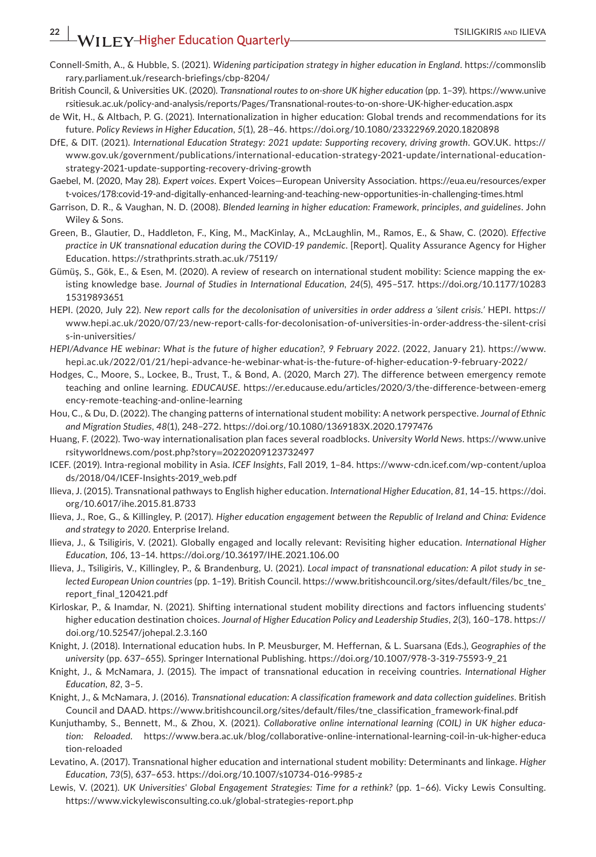- Connell-Smith, A., & Hubble, S. (2021). *Widening participation strategy in higher education in England*. [https://commonslib](https://commonslibrary.parliament.uk/research-briefings/cbp-8204/) [rary.parliament.uk/research-briefings/cbp-8204/](https://commonslibrary.parliament.uk/research-briefings/cbp-8204/)
- British Council, & Universities UK. (2020). *Transnational routes to on-shore UK higher education* (pp. 1–39). [https://www.unive](https://www.universitiesuk.ac.uk/policy-and-analysis/reports/Pages/Transnational-routes-to-on-shore-UK-higher-education.aspx) [rsitiesuk.ac.uk/policy-and-analysis/reports/Pages/Transnational-routes-to-on-shore-UK-higher-education.aspx](https://www.universitiesuk.ac.uk/policy-and-analysis/reports/Pages/Transnational-routes-to-on-shore-UK-higher-education.aspx)
- de Wit, H., & Altbach, P. G. (2021). Internationalization in higher education: Global trends and recommendations for its future. *Policy Reviews in Higher Education*, *5*(1), 28–46. <https://doi.org/10.1080/23322969.2020.1820898>
- DfE, & DIT. (2021). *International Education Strategy: 2021 update: Supporting recovery, driving growth*. GOV.UK. [https://](https://www.gov.uk/government/publications/international-education-strategy-2021-update/international-education-strategy-2021-update-supporting-recovery-driving-growth) [www.gov.uk/government/publications/international-education-strategy-2021-update/international-education](https://www.gov.uk/government/publications/international-education-strategy-2021-update/international-education-strategy-2021-update-supporting-recovery-driving-growth)[strategy-2021-update-supporting-recovery-driving-growth](https://www.gov.uk/government/publications/international-education-strategy-2021-update/international-education-strategy-2021-update-supporting-recovery-driving-growth)
- Gaebel, M. (2020, May 28). *Expert voices*. Expert Voices—European University Association. [https://eua.eu/resources/exper](https://eua.eu/resources/expert-voices/178:covid-19-and-digitally-enhanced-learning-and-teaching-new-opportunities-in-challenging-times.html) [t-voices/178:covid-19-and-digitally-enhanced-learning-and-teaching-new-opportunities-in-challenging-times.html](https://eua.eu/resources/expert-voices/178:covid-19-and-digitally-enhanced-learning-and-teaching-new-opportunities-in-challenging-times.html)
- Garrison, D. R., & Vaughan, N. D. (2008). *Blended learning in higher education: Framework, principles, and guidelines*. John Wiley & Sons.
- Green, B., Glautier, D., Haddleton, F., King, M., MacKinlay, A., McLaughlin, M., Ramos, E., & Shaw, C. (2020). *Effective practice in UK transnational education during the COVID-19 pandemic*. [Report]. Quality Assurance Agency for Higher Education.<https://strathprints.strath.ac.uk/75119/>
- Gümüş, S., Gök, E., & Esen, M. (2020). A review of research on international student mobility: Science mapping the existing knowledge base. *Journal of Studies in International Education*, *24*(5), 495–517. [https://doi.org/10.1177/10283](https://doi.org/10.1177/1028315319893651) [15319893651](https://doi.org/10.1177/1028315319893651)
- HEPI. (2020, July 22). *New report calls for the decolonisation of universities in order address a 'silent crisis.'* HEPI. [https://](https://www.hepi.ac.uk/2020/07/23/new-report-calls-for-decolonisation-of-universities-in-order-address-the-silent-crisis-in-universities/) [www.hepi.ac.uk/2020/07/23/new-report-calls-for-decolonisation-of-universities-in-order-address-the-silent-crisi](https://www.hepi.ac.uk/2020/07/23/new-report-calls-for-decolonisation-of-universities-in-order-address-the-silent-crisis-in-universities/) [s-in-universities/](https://www.hepi.ac.uk/2020/07/23/new-report-calls-for-decolonisation-of-universities-in-order-address-the-silent-crisis-in-universities/)
- *HEPI/Advance HE webinar: What is the future of higher education?, 9 February 2022*. (2022, January 21). [https://www.](https://www.hepi.ac.uk/2022/01/21/hepi-advance-he-webinar-what-is-the-future-of-higher-education-9-february-2022/) [hepi.ac.uk/2022/01/21/hepi-advance-he-webinar-what-is-the-future-of-higher-education-9-february-2022/](https://www.hepi.ac.uk/2022/01/21/hepi-advance-he-webinar-what-is-the-future-of-higher-education-9-february-2022/)
- Hodges, C., Moore, S., Lockee, B., Trust, T., & Bond, A. (2020, March 27). The difference between emergency remote teaching and online learning. *EDUCAUSE*. [https://er.educause.edu/articles/2020/3/the-difference-between-emerg](https://er.educause.edu/articles/2020/3/the-difference-between-emergency-remote-teaching-and-online-learning) [ency-remote-teaching-and-online-learning](https://er.educause.edu/articles/2020/3/the-difference-between-emergency-remote-teaching-and-online-learning)
- Hou, C., & Du, D. (2022). The changing patterns of international student mobility: A network perspective. *Journal of Ethnic and Migration Studies*, *48*(1), 248–272. <https://doi.org/10.1080/1369183X.2020.1797476>
- Huang, F. (2022). Two-way internationalisation plan faces several roadblocks. *University World News*. [https://www.unive](https://www.universityworldnews.com/post.php?story=20220209123732497) [rsityworldnews.com/post.php?story](https://www.universityworldnews.com/post.php?story=20220209123732497)=20220209123732497
- ICEF. (2019). Intra-regional mobility in Asia. *ICEF Insights*, Fall 2019, 1–84. [https://www-cdn.icef.com/wp-content/uploa](https://www-cdn.icef.com/wp-content/uploads/2018/04/ICEF-Insights-2019_web.pdf) [ds/2018/04/ICEF-Insights-2019\\_web.pdf](https://www-cdn.icef.com/wp-content/uploads/2018/04/ICEF-Insights-2019_web.pdf)
- Ilieva, J. (2015). Transnational pathways to English higher education. *International Higher Education*, *81*, 14–15. [https://doi.](https://doi.org/10.6017/ihe.2015.81.8733) [org/10.6017/ihe.2015.81.8733](https://doi.org/10.6017/ihe.2015.81.8733)
- Ilieva, J., Roe, G., & Killingley, P. (2017). *Higher education engagement between the Republic of Ireland and China: Evidence and strategy to 2020*. Enterprise Ireland.
- Ilieva, J., & Tsiligiris, V. (2021). Globally engaged and locally relevant: Revisiting higher education. *International Higher Education*, *106*, 13–14.<https://doi.org/10.36197/IHE.2021.106.00>
- Ilieva, J., Tsiligiris, V., Killingley, P., & Brandenburg, U. (2021). *Local impact of transnational education: A pilot study in selected European Union countries* (pp. 1–19). British Council. [https://www.britishcouncil.org/sites/default/files/bc\\_tne\\_](https://www.britishcouncil.org/sites/default/files/bc_tne_report_final_120421.pdf) [report\\_final\\_120421.pdf](https://www.britishcouncil.org/sites/default/files/bc_tne_report_final_120421.pdf)
- Kirloskar, P., & Inamdar, N. (2021). Shifting international student mobility directions and factors influencing students' higher education destination choices. *Journal of Higher Education Policy and Leadership Studies*, *2*(3), 160–178. [https://](https://doi.org/10.52547/johepal.2.3.160) [doi.org/10.52547/johepal.2.3.160](https://doi.org/10.52547/johepal.2.3.160)
- Knight, J. (2018). International education hubs. In P. Meusburger, M. Heffernan, & L. Suarsana (Eds.), *Geographies of the university* (pp. 637–655). Springer International Publishing. [https://doi.org/10.1007/978-3-319-75593-9\\_21](https://doi.org/10.1007/978-3-319-75593-9_21)
- Knight, J., & McNamara, J. (2015). The impact of transnational education in receiving countries. *International Higher Education*, *82*, 3–5.
- Knight, J., & McNamara, J. (2016). *Transnational education: A classification framework and data collection guidelines*. British Council and DAAD. [https://www.britishcouncil.org/sites/default/files/tne\\_classification\\_framework-final.pdf](https://www.britishcouncil.org/sites/default/files/tne_classification_framework-final.pdf)
- Kunjuthamby, S., Bennett, M., & Zhou, X. (2021). *Collaborative online international learning (COIL) in UK higher education: Reloaded*. [https://www.bera.ac.uk/blog/collaborative-online-international-learning-coil-in-uk-higher-educa](https://www.bera.ac.uk/blog/collaborative-online-international-learning-coil-in-uk-higher-education-reloaded) [tion-reloaded](https://www.bera.ac.uk/blog/collaborative-online-international-learning-coil-in-uk-higher-education-reloaded)
- Levatino, A. (2017). Transnational higher education and international student mobility: Determinants and linkage. *Higher Education*, *73*(5), 637–653.<https://doi.org/10.1007/s10734-016-9985-z>
- Lewis, V. (2021). *UK Universities' Global Engagement Strategies: Time for a rethink?* (pp. 1–66). Vicky Lewis Consulting. <https://www.vickylewisconsulting.co.uk/global-strategies-report.php>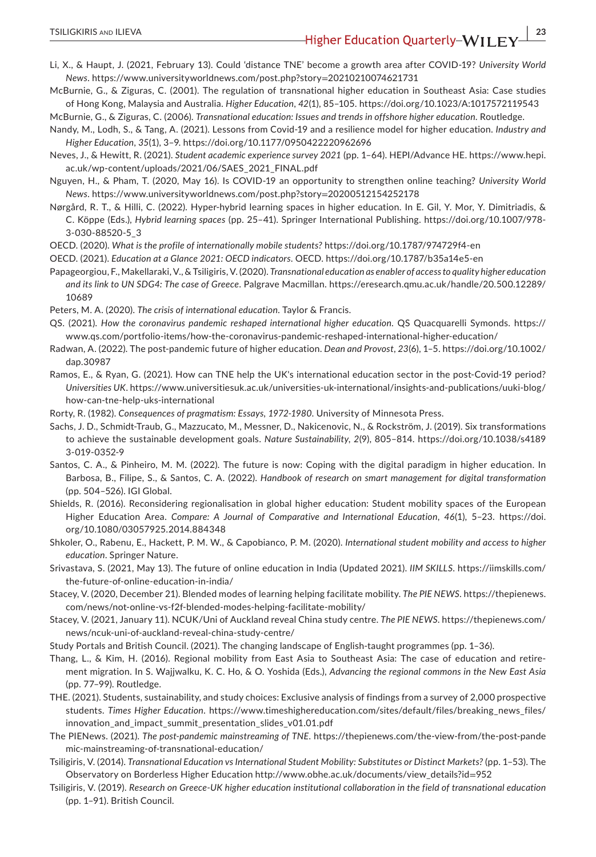Li, X., & Haupt, J. (2021, February 13). Could 'distance TNE' become a growth area after COVID-19? *University World News*. [https://www.universityworldnews.com/post.php?story](https://www.universityworldnews.com/post.php?story=20210210074621731)=20210210074621731

McBurnie, G., & Ziguras, C. (2001). The regulation of transnational higher education in Southeast Asia: Case studies of Hong Kong, Malaysia and Australia. *Higher Education*, *42*(1), 85–105.<https://doi.org/10.1023/A:1017572119543>

McBurnie, G., & Ziguras, C. (2006). *Transnational education: Issues and trends in offshore higher education*. Routledge.

Nandy, M., Lodh, S., & Tang, A. (2021). Lessons from Covid-19 and a resilience model for higher education. *Industry and Higher Education*, *35*(1), 3–9.<https://doi.org/10.1177/0950422220962696>

- Neves, J., & Hewitt, R. (2021). *Student academic experience survey 2021* (pp. 1–64). HEPI/Advance HE. [https://www.hepi.](https://www.hepi.ac.uk/wp-content/uploads/2021/06/SAES_2021_FINAL.pdf) [ac.uk/wp-content/uploads/2021/06/SAES\\_2021\\_FINAL.pdf](https://www.hepi.ac.uk/wp-content/uploads/2021/06/SAES_2021_FINAL.pdf)
- Nguyen, H., & Pham, T. (2020, May 16). Is COVID-19 an opportunity to strengthen online teaching? *University World News*. [https://www.universityworldnews.com/post.php?story](https://www.universityworldnews.com/post.php?story=20200512154252178)=20200512154252178
- Nørgård, R. T., & Hilli, C. (2022). Hyper-hybrid learning spaces in higher education. In E. Gil, Y. Mor, Y. Dimitriadis, & C. Köppe (Eds.), *Hybrid learning spaces* (pp. 25–41). Springer International Publishing. [https://doi.org/10.1007/978-](https://doi.org/10.1007/978-3-030-88520-5_3) [3-030-88520-5\\_3](https://doi.org/10.1007/978-3-030-88520-5_3)
- OECD. (2020). *What is the profile of internationally mobile students?*<https://doi.org/10.1787/974729f4-en>
- OECD. (2021). *Education at a Glance 2021: OECD indicators*. OECD.<https://doi.org/10.1787/b35a14e5-en>
- Papageorgiou, F., Makellaraki, V., & Tsiligiris, V. (2020). *Transnational education as enabler of access to quality higher education and its link to UN SDG4: The case of Greece*. Palgrave Macmillan. [https://eresearch.qmu.ac.uk/handle/20.500.12289/](https://eresearch.qmu.ac.uk/handle/20.500.12289/10689) [10689](https://eresearch.qmu.ac.uk/handle/20.500.12289/10689)

Peters, M. A. (2020). *The crisis of international education*. Taylor & Francis.

- QS. (2021). *How the coronavirus pandemic reshaped international higher education*. QS Quacquarelli Symonds. [https://](https://www.qs.com/portfolio-items/how-the-coronavirus-pandemic-reshaped-international-higher-education/) [www.qs.com/portfolio-items/how-the-coronavirus-pandemic-reshaped-international-higher-education/](https://www.qs.com/portfolio-items/how-the-coronavirus-pandemic-reshaped-international-higher-education/)
- Radwan, A. (2022). The post-pandemic future of higher education. *Dean and Provost*, *23*(6), 1–5. [https://doi.org/10.1002/](https://doi.org/10.1002/dap.30987) [dap.30987](https://doi.org/10.1002/dap.30987)
- Ramos, E., & Ryan, G. (2021). How can TNE help the UK's international education sector in the post-Covid-19 period? *Universities UK*. [https://www.universitiesuk.ac.uk/universities-uk-international/insights-and-publications/uuki-blog/](https://www.universitiesuk.ac.uk/universities-uk-international/insights-and-publications/uuki-blog/how-can-tne-help-uks-international) [how-can-tne-help-uks-international](https://www.universitiesuk.ac.uk/universities-uk-international/insights-and-publications/uuki-blog/how-can-tne-help-uks-international)
- Rorty, R. (1982). *Consequences of pragmatism: Essays, 1972-1980*. University of Minnesota Press.
- Sachs, J. D., Schmidt-Traub, G., Mazzucato, M., Messner, D., Nakicenovic, N., & Rockström, J. (2019). Six transformations to achieve the sustainable development goals. *Nature Sustainability*, *2*(9), 805–814. [https://doi.org/10.1038/s4189](https://doi.org/10.1038/s41893-019-0352-9) [3-019-0352-9](https://doi.org/10.1038/s41893-019-0352-9)
- Santos, C. A., & Pinheiro, M. M. (2022). The future is now: Coping with the digital paradigm in higher education. In Barbosa, B., Filipe, S., & Santos, C. A. (2022). *Handbook of research on smart management for digital transformation* (pp. 504–526). IGI Global.
- Shields, R. (2016). Reconsidering regionalisation in global higher education: Student mobility spaces of the European Higher Education Area. *Compare: A Journal of Comparative and International Education*, *46*(1), 5–23. [https://doi.](https://doi.org/10.1080/03057925.2014.884348) [org/10.1080/03057925.2014.884348](https://doi.org/10.1080/03057925.2014.884348)
- Shkoler, O., Rabenu, E., Hackett, P. M. W., & Capobianco, P. M. (2020). *International student mobility and access to higher education*. Springer Nature.
- Srivastava, S. (2021, May 13). The future of online education in India (Updated 2021). *IIM SKILLS*. [https://iimskills.com/](https://iimskills.com/the-future-of-online-education-in-india/) [the-future-of-online-education-in-india/](https://iimskills.com/the-future-of-online-education-in-india/)
- Stacey, V. (2020, December 21). Blended modes of learning helping facilitate mobility. *The PIE NEWS*. [https://thepienews.](https://thepienews.com/news/not-online-vs-f2f-blended-modes-helping-facilitate-mobility/) [com/news/not-online-vs-f2f-blended-modes-helping-facilitate-mobility/](https://thepienews.com/news/not-online-vs-f2f-blended-modes-helping-facilitate-mobility/)
- Stacey, V. (2021, January 11). NCUK/Uni of Auckland reveal China study centre. *The PIE NEWS*. [https://thepienews.com/](https://thepienews.com/news/ncuk-uni-of-auckland-reveal-china-study-centre/) [news/ncuk-uni-of-auckland-reveal-china-study-centre/](https://thepienews.com/news/ncuk-uni-of-auckland-reveal-china-study-centre/)
- Study Portals and British Council. (2021). The changing landscape of English-taught programmes (pp. 1–36).
- Thang, L., & Kim, H. (2016). Regional mobility from East Asia to Southeast Asia: The case of education and retirement migration. In S. Wajjwalku, K. C. Ho, & O. Yoshida (Eds.), *Advancing the regional commons in the New East Asia* (pp. 77–99). Routledge.
- THE. (2021). Students, sustainability, and study choices: Exclusive analysis of findings from a survey of 2,000 prospective students. *Times Higher Education*. [https://www.timeshighereducation.com/sites/default/files/breaking\\_news\\_files/](https://www.timeshighereducation.com/sites/default/files/breaking_news_files/innovation_and_impact_summit_presentation_slides_v01.01.pdf) [innovation\\_and\\_impact\\_summit\\_presentation\\_slides\\_v01.01.pdf](https://www.timeshighereducation.com/sites/default/files/breaking_news_files/innovation_and_impact_summit_presentation_slides_v01.01.pdf)
- The PIENews. (2021). *The post-pandemic mainstreaming of TNE*. [https://thepienews.com/the-view-from/the-post-pande](https://thepienews.com/the-view-from/the-post-pandemic-mainstreaming-of-transnational-education/) [mic-mainstreaming-of-transnational-education/](https://thepienews.com/the-view-from/the-post-pandemic-mainstreaming-of-transnational-education/)
- Tsiligiris, V. (2014). *Transnational Education vs International Student Mobility: Substitutes or Distinct Markets?* (pp. 1–53). The Observatory on Borderless Higher Education [http://www.obhe.ac.uk/documents/view\\_details?id](http://www.obhe.ac.uk/documents/view_details?id=952)=952
- Tsiligiris, V. (2019). *Research on Greece-UK higher education institutional collaboration in the field of transnational education* (pp. 1–91). British Council.